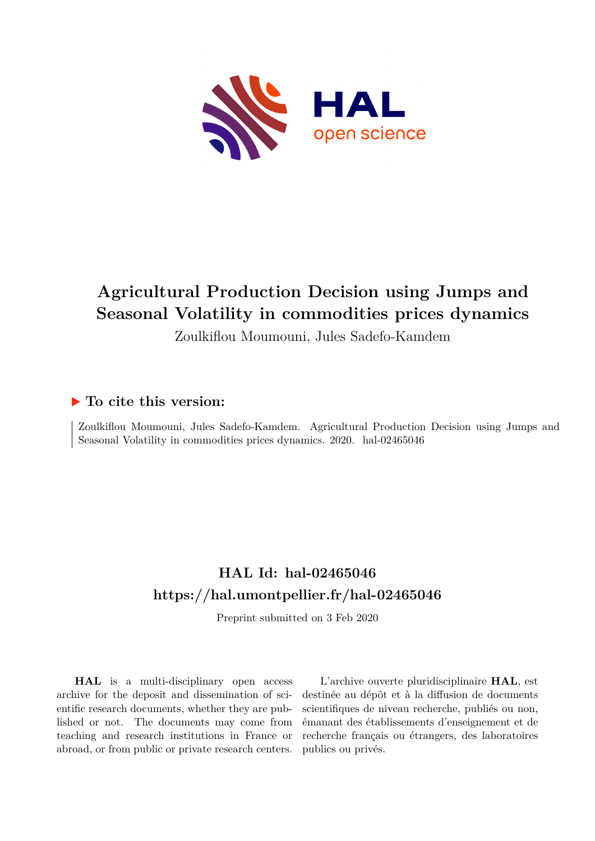

# **Agricultural Production Decision using Jumps and Seasonal Volatility in commodities prices dynamics**

Zoulkiflou Moumouni, Jules Sadefo-Kamdem

## **To cite this version:**

Zoulkiflou Moumouni, Jules Sadefo-Kamdem. Agricultural Production Decision using Jumps and Seasonal Volatility in commodities prices dynamics. 2020. hal-02465046

## **HAL Id: hal-02465046 <https://hal.umontpellier.fr/hal-02465046>**

Preprint submitted on 3 Feb 2020

**HAL** is a multi-disciplinary open access archive for the deposit and dissemination of scientific research documents, whether they are published or not. The documents may come from teaching and research institutions in France or abroad, or from public or private research centers.

L'archive ouverte pluridisciplinaire **HAL**, est destinée au dépôt et à la diffusion de documents scientifiques de niveau recherche, publiés ou non, émanant des établissements d'enseignement et de recherche français ou étrangers, des laboratoires publics ou privés.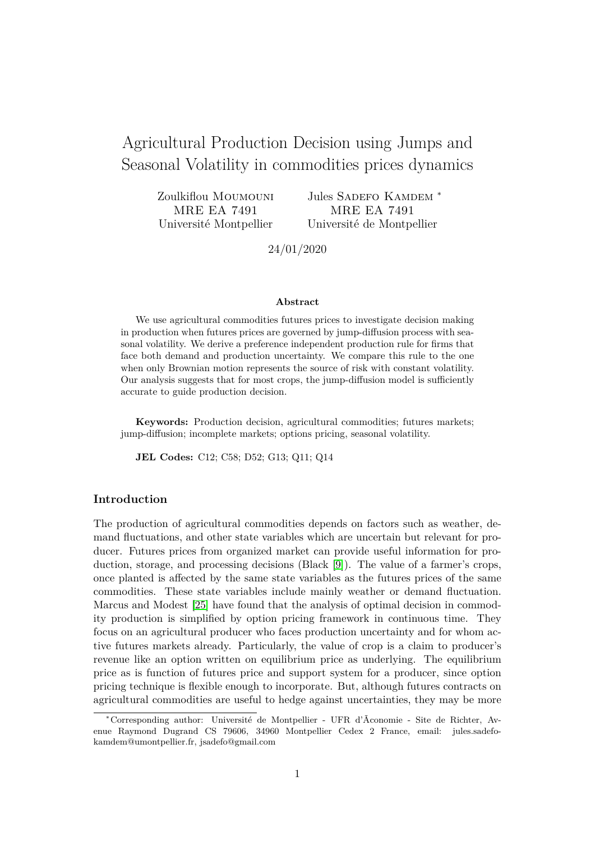## Agricultural Production Decision using Jumps and Seasonal Volatility in commodities prices dynamics

Zoulkiflou Moumouni MRE EA 7491 Université Montpellier

Jules SADEFO KAMDEM \* MRE EA 7491 Université de Montpellier

24/01/2020

#### **Abstract**

We use agricultural commodities futures prices to investigate decision making in production when futures prices are governed by jump-diffusion process with seasonal volatility. We derive a preference independent production rule for firms that face both demand and production uncertainty. We compare this rule to the one when only Brownian motion represents the source of risk with constant volatility. Our analysis suggests that for most crops, the jump-diffusion model is sufficiently accurate to guide production decision.

**Keywords:** Production decision, agricultural commodities; futures markets; jump-diffusion; incomplete markets; options pricing, seasonal volatility.

**JEL Codes:** C12; C58; D52; G13; Q11; Q14

## **Introduction**

The production of agricultural commodities depends on factors such as weather, demand fluctuations, and other state variables which are uncertain but relevant for producer. Futures prices from organized market can provide useful information for production, storage, and processing decisions (Black [9]). The value of a farmer's crops, once planted is affected by the same state variables as the futures prices of the same commodities. These state variables include mainly weather or demand fluctuation. Marcus and Modest [25] have found that the analysis of optimal decision in commodity production is simplified by option pricing framework in continuous time. They focus on an agricultural producer who faces production uncertainty and for whom active futures markets already. Particularly, the value of crop is a claim to producer's revenue like an option written on equilibrium price as underlying. The equilibrium price as is function of futures price and support system for a producer, since option pricing technique is flexible enough to incorporate. But, although futures contracts on agricultural commodities are useful to hedge against uncertainties, they may be more

<sup>∗</sup>Corresponding author: Université de Montpellier - UFR d'Ãconomie - Site de Richter, Avenue Raymond Dugrand CS 79606, 34960 Montpellier Cedex 2 France, email: jules.sadefokamdem@umontpellier.fr, jsadefo@gmail.com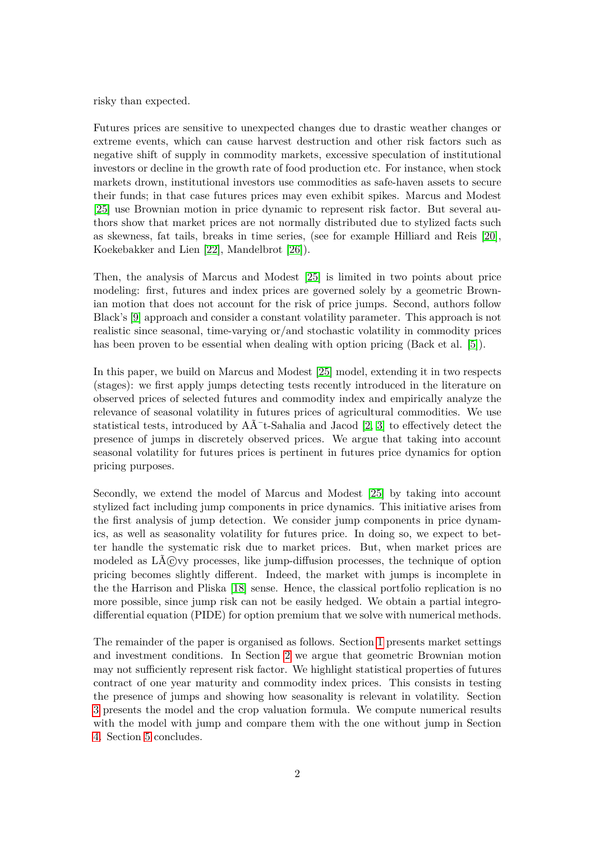risky than expected.

Futures prices are sensitive to unexpected changes due to drastic weather changes or extreme events, which can cause harvest destruction and other risk factors such as negative shift of supply in commodity markets, excessive speculation of institutional investors or decline in the growth rate of food production etc. For instance, when stock markets drown, institutional investors use commodities as safe-haven assets to secure their funds; in that case futures prices may even exhibit spikes. Marcus and Modest [25] use Brownian motion in price dynamic to represent risk factor. But several authors show that market prices are not normally distributed due to stylized facts such as skewness, fat tails, breaks in time series, (see for example Hilliard and Reis [20], Koekebakker and Lien [22], Mandelbrot [26]).

Then, the analysis of Marcus and Modest [25] is limited in two points about price modeling: first, futures and index prices are governed solely by a geometric Brownian motion that does not account for the risk of price jumps. Second, authors follow Black's [9] approach and consider a constant volatility parameter. This approach is not realistic since seasonal, time-varying or/and stochastic volatility in commodity prices has been proven to be essential when dealing with option pricing (Back et al. [5]).

In this paper, we build on Marcus and Modest [25] model, extending it in two respects (stages): we first apply jumps detecting tests recently introduced in the literature on observed prices of selected futures and commodity index and empirically analyze the relevance of seasonal volatility in futures prices of agricultural commodities. We use statistical tests, introduced by  $A\tilde{A}$ <sup>-</sup>t-Sahalia and Jacod [2, 3] to effectively detect the presence of jumps in discretely observed prices. We argue that taking into account seasonal volatility for futures prices is pertinent in futures price dynamics for option pricing purposes.

Secondly, we extend the model of Marcus and Modest [25] by taking into account stylized fact including jump components in price dynamics. This initiative arises from the first analysis of jump detection. We consider jump components in price dynamics, as well as seasonality volatility for futures price. In doing so, we expect to better handle the systematic risk due to market prices. But, when market prices are modeled as  $\text{L}\tilde{\text{A}}$  (C) vy processes, like jump-diffusion processes, the technique of option pricing becomes slightly different. Indeed, the market with jumps is incomplete in the the Harrison and Pliska [18] sense. Hence, the classical portfolio replication is no more possible, since jump risk can not be easily hedged. We obtain a partial integrodifferential equation (PIDE) for option premium that we solve with numerical methods.

The remainder of the paper is organised as follows. Section 1 presents market settings and investment conditions. In Section 2 we argue that geometric Brownian motion may not sufficiently represent risk factor. We highlight statistical properties of futures contract of one year maturity and commodity index prices. This consists in testing the presence of jumps and showing how seasonality is relevant in volatility. Section 3 presents the model and the crop valuation formula. We compute numerical results with the model with jump and compare them with the one without jump in Section 4. Section 5 concludes.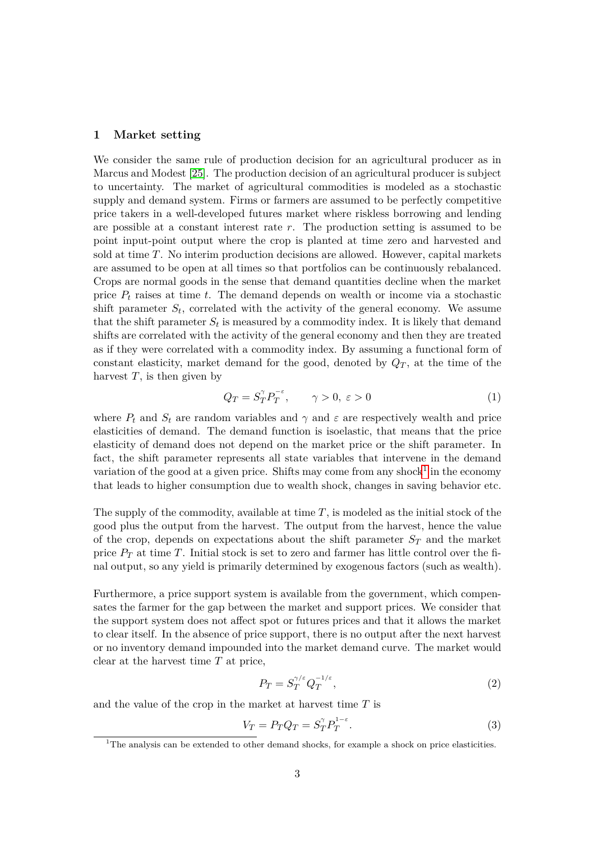#### **1 Market setting**

We consider the same rule of production decision for an agricultural producer as in Marcus and Modest [25]. The production decision of an agricultural producer is subject to uncertainty. The market of agricultural commodities is modeled as a stochastic supply and demand system. Firms or farmers are assumed to be perfectly competitive price takers in a well-developed futures market where riskless borrowing and lending are possible at a constant interest rate *r*. The production setting is assumed to be point input-point output where the crop is planted at time zero and harvested and sold at time *T*. No interim production decisions are allowed. However, capital markets are assumed to be open at all times so that portfolios can be continuously rebalanced. Crops are normal goods in the sense that demand quantities decline when the market price *P<sup>t</sup>* raises at time *t*. The demand depends on wealth or income via a stochastic shift parameter  $S_t$ , correlated with the activity of the general economy. We assume that the shift parameter  $S_t$  is measured by a commodity index. It is likely that demand shifts are correlated with the activity of the general economy and then they are treated as if they were correlated with a commodity index. By assuming a functional form of constant elasticity, market demand for the good, denoted by  $Q_T$ , at the time of the harvest  $T$ , is then given by

$$
Q_T = S_T^{\gamma} P_T^{-\epsilon}, \qquad \gamma > 0, \ \varepsilon > 0 \tag{1}
$$

where  $P_t$  and  $S_t$  are random variables and  $\gamma$  and  $\varepsilon$  are respectively wealth and price elasticities of demand. The demand function is isoelastic, that means that the price elasticity of demand does not depend on the market price or the shift parameter. In fact, the shift parameter represents all state variables that intervene in the demand variation of the good at a given price. Shifts may come from any shock<sup>1</sup> in the economy that leads to higher consumption due to wealth shock, changes in saving behavior etc.

The supply of the commodity, available at time *T*, is modeled as the initial stock of the good plus the output from the harvest. The output from the harvest, hence the value of the crop, depends on expectations about the shift parameter  $S_T$  and the market price  $P_T$  at time *T*. Initial stock is set to zero and farmer has little control over the final output, so any yield is primarily determined by exogenous factors (such as wealth).

Furthermore, a price support system is available from the government, which compensates the farmer for the gap between the market and support prices. We consider that the support system does not affect spot or futures prices and that it allows the market to clear itself. In the absence of price support, there is no output after the next harvest or no inventory demand impounded into the market demand curve. The market would clear at the harvest time *T* at price,

$$
P_T = S_T^{\gamma/\varepsilon} Q_T^{-1/\varepsilon},\tag{2}
$$

and the value of the crop in the market at harvest time *T* is

$$
V_T = P_T Q_T = S_T^{\gamma} P_T^{1-\varepsilon}.
$$
\n(3)

<sup>&</sup>lt;sup>1</sup>The analysis can be extended to other demand shocks, for example a shock on price elasticities.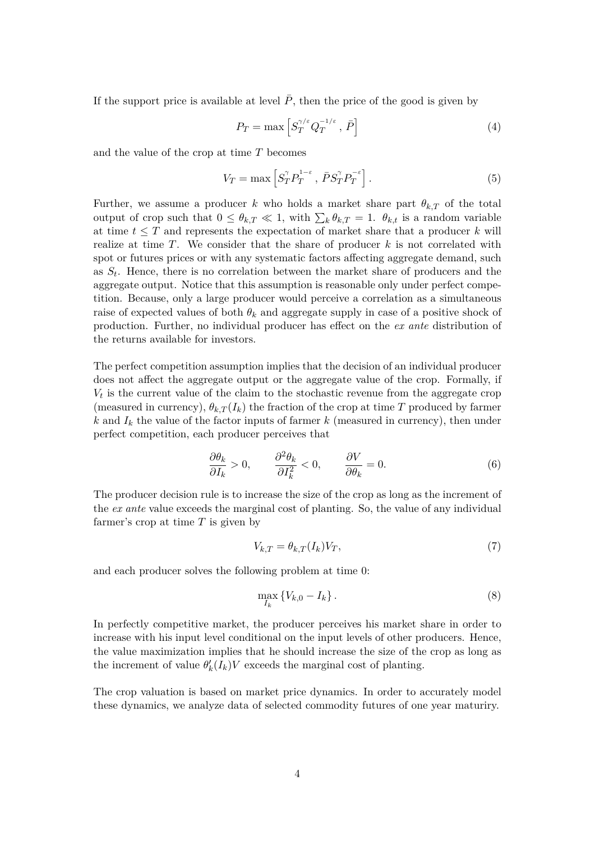If the support price is available at level  $\overline{P}$ , then the price of the good is given by

$$
P_T = \max \left[ S_T^{\gamma/\varepsilon} Q_T^{-1/\varepsilon}, \, \bar{P} \right] \tag{4}
$$

and the value of the crop at time *T* becomes

$$
V_T = \max \left[ S_T^{\gamma} P_T^{1-\epsilon} , \, \bar{P} S_T^{\gamma} P_T^{-\epsilon} \right]. \tag{5}
$$

Further, we assume a producer *k* who holds a market share part  $\theta_{k,T}$  of the total output of crop such that  $0 \leq \theta_{k,T} \ll 1$ , with  $\sum_{k} \theta_{k,T} = 1$ .  $\theta_{k,t}$  is a random variable at time  $t \leq T$  and represents the expectation of market share that a producer k will realize at time *T*. We consider that the share of producer *k* is not correlated with spot or futures prices or with any systematic factors affecting aggregate demand, such as *S<sup>t</sup>* . Hence, there is no correlation between the market share of producers and the aggregate output. Notice that this assumption is reasonable only under perfect competition. Because, only a large producer would perceive a correlation as a simultaneous raise of expected values of both  $\theta_k$  and aggregate supply in case of a positive shock of production. Further, no individual producer has effect on the *ex ante* distribution of the returns available for investors.

The perfect competition assumption implies that the decision of an individual producer does not affect the aggregate output or the aggregate value of the crop. Formally, if  $V_t$  is the current value of the claim to the stochastic revenue from the aggregate crop (measured in currency),  $\theta_{k,T}(I_k)$  the fraction of the crop at time *T* produced by farmer  $k$  and  $I_k$  the value of the factor inputs of farmer  $k$  (measured in currency), then under perfect competition, each producer perceives that

$$
\frac{\partial \theta_k}{\partial I_k} > 0, \qquad \frac{\partial^2 \theta_k}{\partial I_k^2} < 0, \qquad \frac{\partial V}{\partial \theta_k} = 0.
$$
 (6)

The producer decision rule is to increase the size of the crop as long as the increment of the *ex ante* value exceeds the marginal cost of planting. So, the value of any individual farmer's crop at time *T* is given by

$$
V_{k,T} = \theta_{k,T}(I_k)V_T,\tag{7}
$$

and each producer solves the following problem at time 0:

$$
\max_{I_k} \left\{ V_{k,0} - I_k \right\}.
$$
\n
$$
(8)
$$

In perfectly competitive market, the producer perceives his market share in order to increase with his input level conditional on the input levels of other producers. Hence, the value maximization implies that he should increase the size of the crop as long as the increment of value  $\theta'_{k}(I_{k})V$  exceeds the marginal cost of planting.

The crop valuation is based on market price dynamics. In order to accurately model these dynamics, we analyze data of selected commodity futures of one year maturiry.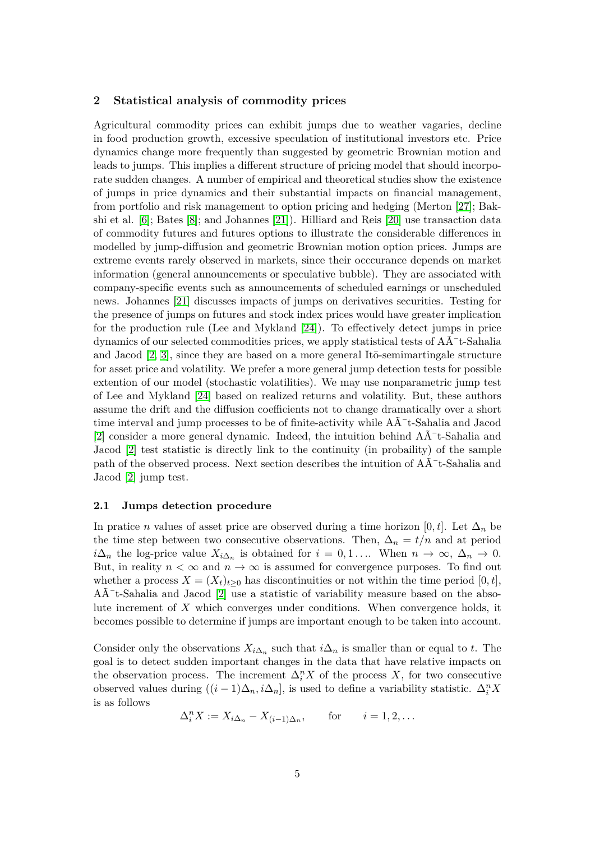### **2 Statistical analysis of commodity prices**

Agricultural commodity prices can exhibit jumps due to weather vagaries, decline in food production growth, excessive speculation of institutional investors etc. Price dynamics change more frequently than suggested by geometric Brownian motion and leads to jumps. This implies a different structure of pricing model that should incorporate sudden changes. A number of empirical and theoretical studies show the existence of jumps in price dynamics and their substantial impacts on financial management, from portfolio and risk management to option pricing and hedging (Merton [27]; Bakshi et al. [6]; Bates [8]; and Johannes [21]). Hilliard and Reis [20] use transaction data of commodity futures and futures options to illustrate the considerable differences in modelled by jump-diffusion and geometric Brownian motion option prices. Jumps are extreme events rarely observed in markets, since their occcurance depends on market information (general announcements or speculative bubble). They are associated with company-specific events such as announcements of scheduled earnings or unscheduled news. Johannes [21] discusses impacts of jumps on derivatives securities. Testing for the presence of jumps on futures and stock index prices would have greater implication for the production rule (Lee and Mykland [24]). To effectively detect jumps in price dynamics of our selected commodities prices, we apply statistical tests of  $\widehat{AA}^{-t}$ -Sahalia and Jacod  $[2, 3]$ , since they are based on a more general It $\bar{o}$ -semimartingale structure for asset price and volatility. We prefer a more general jump detection tests for possible extention of our model (stochastic volatilities). We may use nonparametric jump test of Lee and Mykland [24] based on realized returns and volatility. But, these authors assume the drift and the diffusion coefficients not to change dramatically over a short time interval and jump processes to be of finite-activity while  $A\tilde{A}^-$ t-Sahalia and Jacod [2] consider a more general dynamic. Indeed, the intuition behind  $A\tilde{A}$ <sup>-</sup>t-Sahalia and Jacod [2] test statistic is directly link to the continuity (in probaility) of the sample path of the observed process. Next section describes the intuition of  $A\tilde{A}^-$ t-Sahalia and Jacod [2] jump test.

#### **2.1 Jumps detection procedure**

In pratice *n* values of asset price are observed during a time horizon  $[0, t]$ . Let  $\Delta_n$  be the time step between two consecutive observations. Then,  $\Delta_n = t/n$  and at period  $i\Delta_n$  the log-price value  $X_{i\Delta_n}$  is obtained for  $i = 0, 1, \ldots$  When  $n \to \infty, \Delta_n \to 0$ . But, in reality  $n < \infty$  and  $n \to \infty$  is assumed for convergence purposes. To find out whether a process  $X = (X_t)_{t>0}$  has discontinuities or not within the time period  $[0, t]$ ,  $A\tilde{A}$ <sup>-</sup>t-Sahalia and Jacod [2] use a statistic of variability measure based on the absolute increment of *X* which converges under conditions. When convergence holds, it becomes possible to determine if jumps are important enough to be taken into account.

Consider only the observations  $X_{i\Delta_n}$  such that  $i\Delta_n$  is smaller than or equal to *t*. The goal is to detect sudden important changes in the data that have relative impacts on the observation process. The increment  $\Delta_i^n X$  of the process *X*, for two consecutive observed values during  $((i-1)\Delta_n, i\Delta_n]$ , is used to define a variability statistic.  $\Delta_i^n X$ is as follows

$$
\Delta_i^n X := X_{i\Delta_n} - X_{(i-1)\Delta_n}, \quad \text{for} \quad i = 1, 2, \dots
$$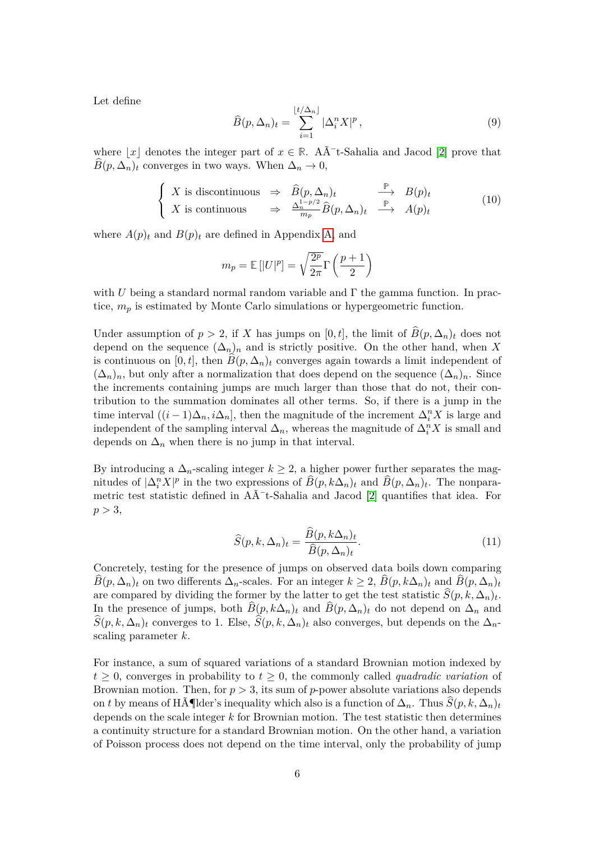Let define

$$
\widehat{B}(p,\Delta_n)_t = \sum_{i=1}^{\lfloor t/\Delta_n \rfloor} |\Delta_i^n X|^p, \qquad (9)
$$

where  $|x|$  denotes the integer part of  $x \in \mathbb{R}$ . A $\tilde{A}$ <sup>-</sup>t-Sahalia and Jacod [2] prove that  $\widehat{B}(p, \Delta_n)_t$  converges in two ways. When  $\Delta_n \to 0$ ,

$$
\begin{cases}\nX \text{ is discontinuous} & \Rightarrow \widehat{B}(p, \Delta_n)_t \xrightarrow{\mathbb{P}} B(p)_t \\
X \text{ is continuous} & \Rightarrow \frac{\Delta_n^{1-p/2}}{m_p} \widehat{B}(p, \Delta_n)_t \xrightarrow{\mathbb{P}} A(p)_t\n\end{cases} (10)
$$

where  $A(p)_t$  and  $B(p)_t$  are defined in Appendix A, and

$$
m_p = \mathbb{E}[|U|^p] = \sqrt{\frac{2^p}{2\pi}} \Gamma\left(\frac{p+1}{2}\right)
$$

with *U* being a standard normal random variable and  $\Gamma$  the gamma function. In practice, *m<sup>p</sup>* is estimated by Monte Carlo simulations or hypergeometric function.

Under assumption of  $p > 2$ , if *X* has jumps on [0, t], the limit of  $B(p, \Delta_n)_t$  does not depend on the sequence  $(\Delta_n)_n$  and is strictly positive. On the other hand, when X is continuous on [0, t], then  $\hat{B}(p, \Delta_n)_t$  converges again towards a limit independent of  $(\Delta_n)_n$ , but only after a normalization that does depend on the sequence  $(\Delta_n)_n$ . Since the increments containing jumps are much larger than those that do not, their contribution to the summation dominates all other terms. So, if there is a jump in the time interval  $((i-1)\Delta_n, i\Delta_n]$ , then the magnitude of the increment  $\Delta_i^n X$  is large and independent of the sampling interval  $\Delta_n$ , whereas the magnitude of  $\Delta_i^n X$  is small and depends on  $\Delta_n$  when there is no jump in that interval.

By introducing a  $\Delta_n$ -scaling integer  $k \geq 2$ , a higher power further separates the magnitudes of  $|\Delta_i^n X|^p$  in the two expressions of  $\widehat{B}(p, k\Delta_n)_t$  and  $\widehat{B}(p, \Delta_n)_t$ . The nonparametric test statistic defined in  $A\tilde{A}^-$ t-Sahalia and Jacod [2] quantifies that idea. For  $p > 3$ ,

$$
\widehat{S}(p,k,\Delta_n)_t = \frac{\widehat{B}(p,k\Delta_n)_t}{\widehat{B}(p,\Delta_n)_t}.\tag{11}
$$

Concretely, testing for the presence of jumps on observed data boils down comparing  $B(p, \Delta_n)_t$  on two differents  $\Delta_n$ -scales. For an integer  $k \geq 2$ ,  $B(p, k\Delta_n)_t$  and  $B(p, \Delta_n)_t$ are compared by dividing the former by the latter to get the test statistic  $S(p, k, \Delta_n)_t$ . In the presence of jumps, both  $\hat{B}(p, k\Delta_n)$  and  $\hat{B}(p, \Delta_n)$  do not depend on  $\Delta_n$  and  $S(p, k, \Delta_n)_t$  converges to 1. Else,  $S(p, k, \Delta_n)_t$  also converges, but depends on the  $\Delta_n$ scaling parameter *k*.

For instance, a sum of squared variations of a standard Brownian motion indexed by  $t \geq 0$ , converges in probability to  $t \geq 0$ , the commonly called *quadradic variation* of Brownian motion. Then, for *p >* 3, its sum of *p*-power absolute variations also depends on *t* by means of Hölder's inequality which also is a function of  $\Delta_n$ . Thus  $\widehat{S}(p, k, \Delta_n)_t$ depends on the scale integer *k* for Brownian motion. The test statistic then determines a continuity structure for a standard Brownian motion. On the other hand, a variation of Poisson process does not depend on the time interval, only the probability of jump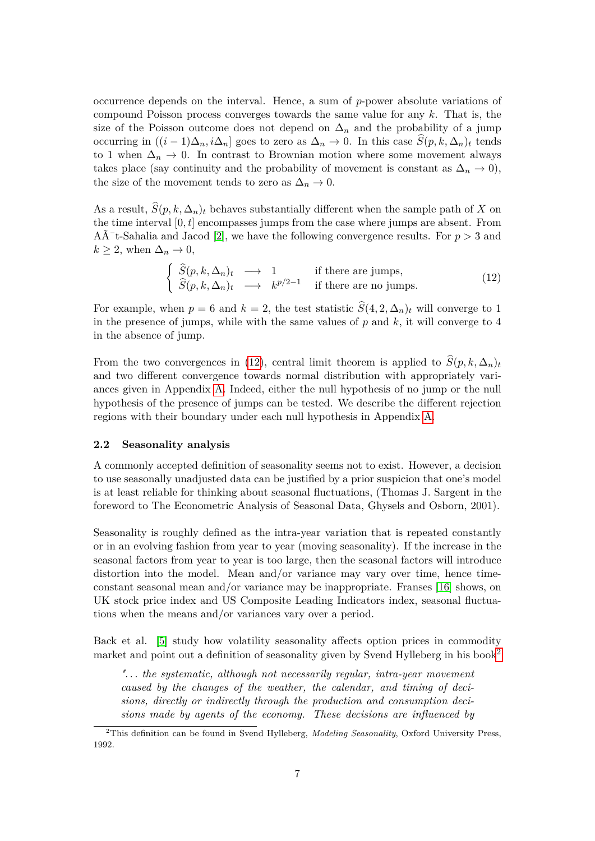occurrence depends on the interval. Hence, a sum of *p*-power absolute variations of compound Poisson process converges towards the same value for any *k*. That is, the size of the Poisson outcome does not depend on  $\Delta_n$  and the probability of a jump occurring in  $((i-1)\Delta_n, i\Delta_n]$  goes to zero as  $\Delta_n \to 0$ . In this case  $\widehat{S}(p, k, \Delta_n)_t$  tends to 1 when  $\Delta_n \to 0$ . In contrast to Brownian motion where some movement always takes place (say continuity and the probability of movement is constant as  $\Delta_n \to 0$ ), the size of the movement tends to zero as  $\Delta_n \to 0$ .

As a result,  $\widehat{S}(p, k, \Delta_n)$  behaves substantially different when the sample path of *X* on the time interval  $[0, t]$  encompasses jumps from the case where jumps are absent. From  $A\tilde{A}$ <sup>-</sup>t-Sahalia and Jacod [2], we have the following convergence results. For  $p > 3$  and  $k \geq 2$ , when  $\Delta_n \to 0$ ,

$$
\begin{cases}\n\widehat{S}(p,k,\Delta_n)_t \longrightarrow 1 & \text{if there are jumps,} \\
\widehat{S}(p,k,\Delta_n)_t \longrightarrow k^{p/2-1} & \text{if there are no jumps.}\n\end{cases}
$$
\n(12)

For example, when  $p = 6$  and  $k = 2$ , the test statistic  $\hat{S}(4, 2, \Delta_n)_t$  will converge to 1 in the presence of jumps, while with the same values of *p* and *k*, it will converge to 4 in the absence of jump.

From the two convergences in (12), central limit theorem is applied to  $\hat{S}(p, k, \Delta_n)_t$ and two different convergence towards normal distribution with appropriately variances given in Appendix A. Indeed, either the null hypothesis of no jump or the null hypothesis of the presence of jumps can be tested. We describe the different rejection regions with their boundary under each null hypothesis in Appendix A.

#### **2.2 Seasonality analysis**

A commonly accepted definition of seasonality seems not to exist. However, a decision to use seasonally unadjusted data can be justified by a prior suspicion that one's model is at least reliable for thinking about seasonal fluctuations, (Thomas J. Sargent in the foreword to The Econometric Analysis of Seasonal Data, Ghysels and Osborn, 2001).

Seasonality is roughly defined as the intra-year variation that is repeated constantly or in an evolving fashion from year to year (moving seasonality). If the increase in the seasonal factors from year to year is too large, then the seasonal factors will introduce distortion into the model. Mean and/or variance may vary over time, hence timeconstant seasonal mean and/or variance may be inappropriate. Franses [16] shows, on UK stock price index and US Composite Leading Indicators index, seasonal fluctuations when the means and/or variances vary over a period.

Back et al. [5] study how volatility seasonality affects option prices in commodity market and point out a definition of seasonality given by Svend Hylleberg in his book<sup>2</sup>

*". . . the systematic, although not necessarily regular, intra-year movement caused by the changes of the weather, the calendar, and timing of decisions, directly or indirectly through the production and consumption decisions made by agents of the economy. These decisions are influenced by*

<sup>2</sup>This definition can be found in Svend Hylleberg, *Modeling Seasonality*, Oxford University Press, 1992.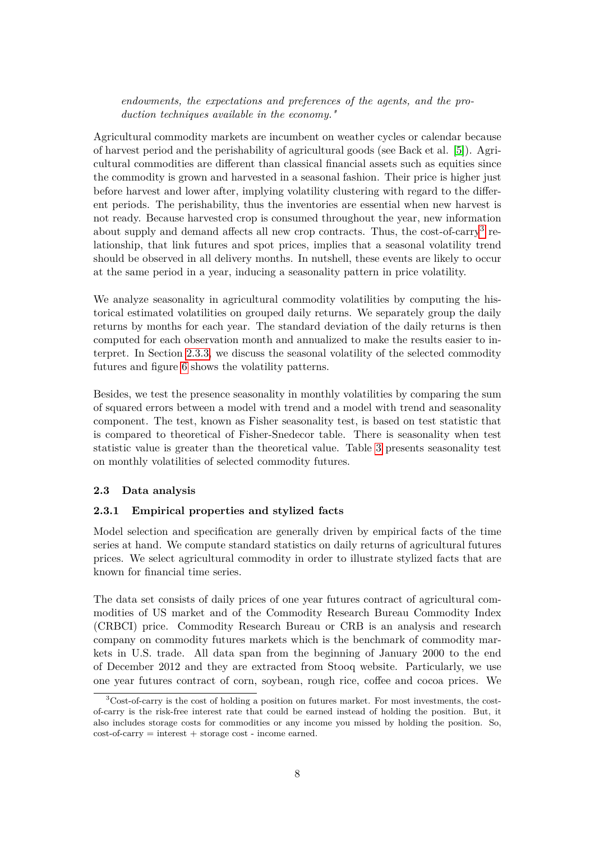*endowments, the expectations and preferences of the agents, and the production techniques available in the economy."*

Agricultural commodity markets are incumbent on weather cycles or calendar because of harvest period and the perishability of agricultural goods (see Back et al. [5]). Agricultural commodities are different than classical financial assets such as equities since the commodity is grown and harvested in a seasonal fashion. Their price is higher just before harvest and lower after, implying volatility clustering with regard to the different periods. The perishability, thus the inventories are essential when new harvest is not ready. Because harvested crop is consumed throughout the year, new information about supply and demand affects all new crop contracts. Thus, the cost-of-carry<sup>3</sup> relationship, that link futures and spot prices, implies that a seasonal volatility trend should be observed in all delivery months. In nutshell, these events are likely to occur at the same period in a year, inducing a seasonality pattern in price volatility.

We analyze seasonality in agricultural commodity volatilities by computing the historical estimated volatilities on grouped daily returns. We separately group the daily returns by months for each year. The standard deviation of the daily returns is then computed for each observation month and annualized to make the results easier to interpret. In Section 2.3.3, we discuss the seasonal volatility of the selected commodity futures and figure 6 shows the volatility patterns.

Besides, we test the presence seasonality in monthly volatilities by comparing the sum of squared errors between a model with trend and a model with trend and seasonality component. The test, known as Fisher seasonality test, is based on test statistic that is compared to theoretical of Fisher-Snedecor table. There is seasonality when test statistic value is greater than the theoretical value. Table 3 presents seasonality test on monthly volatilities of selected commodity futures.

### **2.3 Data analysis**

### **2.3.1 Empirical properties and stylized facts**

Model selection and specification are generally driven by empirical facts of the time series at hand. We compute standard statistics on daily returns of agricultural futures prices. We select agricultural commodity in order to illustrate stylized facts that are known for financial time series.

The data set consists of daily prices of one year futures contract of agricultural commodities of US market and of the Commodity Research Bureau Commodity Index (CRBCI) price. Commodity Research Bureau or CRB is an analysis and research company on commodity futures markets which is the benchmark of commodity markets in U.S. trade. All data span from the beginning of January 2000 to the end of December 2012 and they are extracted from Stooq website. Particularly, we use one year futures contract of corn, soybean, rough rice, coffee and cocoa prices. We

 $3\text{Cost-of-carry}$  is the cost of holding a position on futures market. For most investments, the costof-carry is the risk-free interest rate that could be earned instead of holding the position. But, it also includes storage costs for commodities or any income you missed by holding the position. So,  $cost-of-carry = interest + storage cost - income earned.$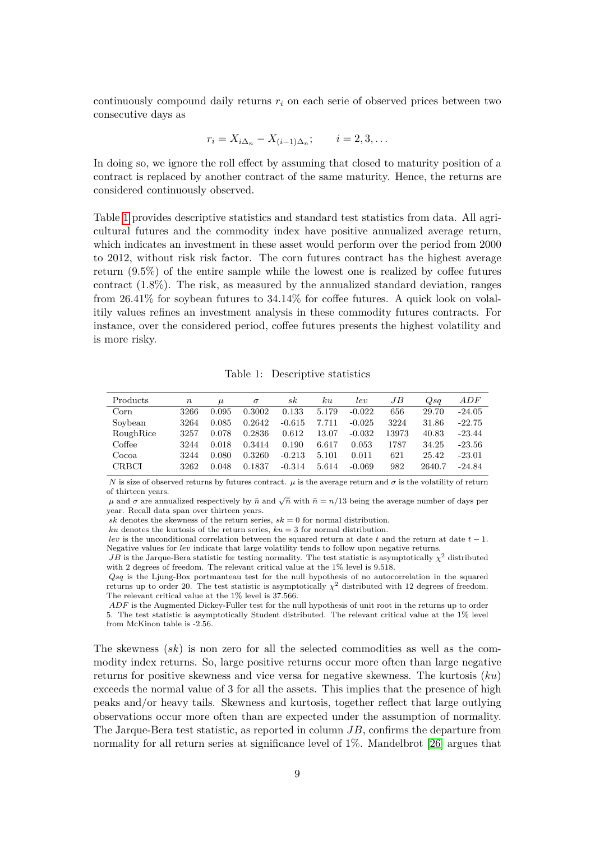continuously compound daily returns  $r_i$  on each serie of observed prices between two consecutive days as

$$
r_i = X_{i\Delta_n} - X_{(i-1)\Delta_n}; \qquad i = 2, 3, \dots
$$

In doing so, we ignore the roll effect by assuming that closed to maturity position of a contract is replaced by another contract of the same maturity. Hence, the returns are considered continuously observed.

Table 1 provides descriptive statistics and standard test statistics from data. All agricultural futures and the commodity index have positive annualized average return, which indicates an investment in these asset would perform over the period from 2000 to 2012, without risk risk factor. The corn futures contract has the highest average return (9.5%) of the entire sample while the lowest one is realized by coffee futures contract (1.8%). The risk, as measured by the annualized standard deviation, ranges from 26.41% for soybean futures to 34.14% for coffee futures. A quick look on volalitily values refines an investment analysis in these commodity futures contracts. For instance, over the considered period, coffee futures presents the highest volatility and is more risky.

Table 1: Descriptive statistics

| Products      | $\, n$ | $\mu$ | $\sigma$ | $_{sk}$  | ku    | lev      | JB    | Qsq    | ADF      |
|---------------|--------|-------|----------|----------|-------|----------|-------|--------|----------|
| $_{\rm Corn}$ | 3266   | 0.095 | 0.3002   | 0.133    | 5.179 | $-0.022$ | 656   | 29.70  | $-24.05$ |
| Soybean       | 3264   | 0.085 | 0.2642   | $-0.615$ | 7.711 | $-0.025$ | 3224  | 31.86  | $-22.75$ |
| RoughRice     | 3257   | 0.078 | 0.2836   | 0.612    | 13.07 | $-0.032$ | 13973 | 40.83  | $-23.44$ |
| Coffee        | 3244   | 0.018 | 0.3414   | 0.190    | 6.617 | 0.053    | 1787  | 34.25  | $-23.56$ |
| Cocoa         | 3244   | 0.080 | 0.3260   | $-0.213$ | 5.101 | 0.011    | 621   | 25.42  | $-23.01$ |
| <b>CRBCI</b>  | 3262   | 0.048 | 0.1837   | $-0.314$ | 5.614 | $-0.069$ | 982   | 2640.7 | $-24.84$ |

*N* is size of observed returns by futures contract.  $\mu$  is the average return and  $\sigma$  is the volatility of return of thirteen years.

*μ* and *σ* are annualized respectively by *ñ* and  $\sqrt{\bar{n}}$  with  $\bar{n} = n/13$  being the average number of days per year. Recall data span over thirteen years.

*sk* denotes the skewness of the return series,  $sk = 0$  for normal distribution.

 $ku$  denotes the kurtosis of the return series,  $ku = 3$  for normal distribution.

*lev* is the unconditional correlation between the squared return at date *t* and the return at date *t* − 1. Negative values for *lev* indicate that large volatility tends to follow upon negative returns.

*JB* is the Jarque-Bera statistic for testing normality. The test statistic is asymptotically  $\chi^2$  distributed with 2 degrees of freedom. The relevant critical value at the 1% level is 9.518.

*Qsq* is the Ljung-Box portmanteau test for the null hypothesis of no autocorrelation in the squared returns up to order 20. The test statistic is asymptotically  $\chi^2$  distributed with 12 degrees of freedom. The relevant critical value at the 1% level is 37.566.

*ADF* is the Augmented Dickey-Fuller test for the null hypothesis of unit root in the returns up to order 5. The test statistic is asymptotically Student distributed. The relevant critical value at the 1% level from McKinon table is -2.56.

The skewness (*sk*) is non zero for all the selected commodities as well as the commodity index returns. So, large positive returns occur more often than large negative returns for positive skewness and vice versa for negative skewness. The kurtosis (*ku*) exceeds the normal value of 3 for all the assets. This implies that the presence of high peaks and/or heavy tails. Skewness and kurtosis, together reflect that large outlying observations occur more often than are expected under the assumption of normality. The Jarque-Bera test statistic, as reported in column *JB*, confirms the departure from normality for all return series at significance level of 1%. Mandelbrot [26] argues that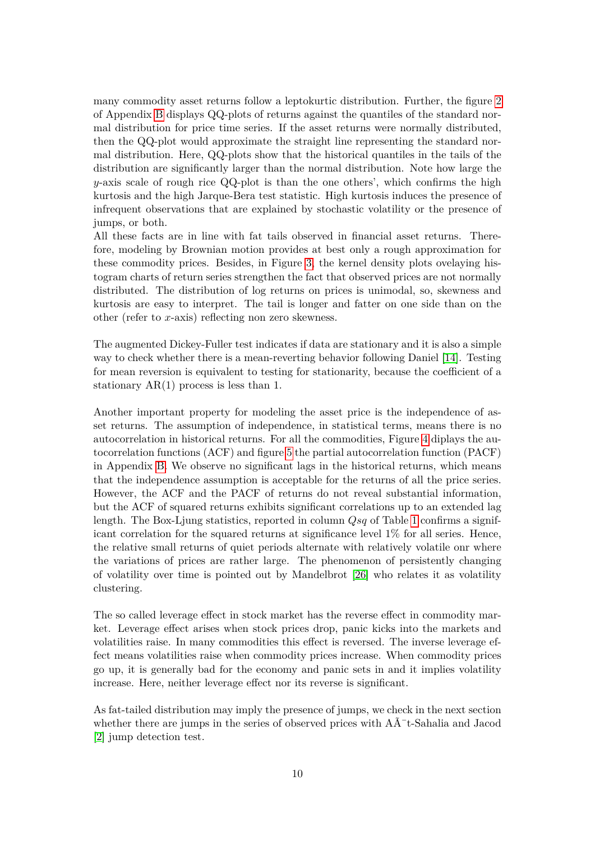many commodity asset returns follow a leptokurtic distribution. Further, the figure 2 of Appendix B displays QQ-plots of returns against the quantiles of the standard normal distribution for price time series. If the asset returns were normally distributed, then the QQ-plot would approximate the straight line representing the standard normal distribution. Here, QQ-plots show that the historical quantiles in the tails of the distribution are significantly larger than the normal distribution. Note how large the *y*-axis scale of rough rice QQ-plot is than the one others', which confirms the high kurtosis and the high Jarque-Bera test statistic. High kurtosis induces the presence of infrequent observations that are explained by stochastic volatility or the presence of jumps, or both.

All these facts are in line with fat tails observed in financial asset returns. Therefore, modeling by Brownian motion provides at best only a rough approximation for these commodity prices. Besides, in Figure 3, the kernel density plots ovelaying histogram charts of return series strengthen the fact that observed prices are not normally distributed. The distribution of log returns on prices is unimodal, so, skewness and kurtosis are easy to interpret. The tail is longer and fatter on one side than on the other (refer to *x*-axis) reflecting non zero skewness.

The augmented Dickey-Fuller test indicates if data are stationary and it is also a simple way to check whether there is a mean-reverting behavior following Daniel [14]. Testing for mean reversion is equivalent to testing for stationarity, because the coefficient of a stationary  $AR(1)$  process is less than 1.

Another important property for modeling the asset price is the independence of asset returns. The assumption of independence, in statistical terms, means there is no autocorrelation in historical returns. For all the commodities, Figure 4 diplays the autocorrelation functions (ACF) and figure 5 the partial autocorrelation function (PACF) in Appendix B. We observe no significant lags in the historical returns, which means that the independence assumption is acceptable for the returns of all the price series. However, the ACF and the PACF of returns do not reveal substantial information, but the ACF of squared returns exhibits significant correlations up to an extended lag length. The Box-Ljung statistics, reported in column *Qsq* of Table 1 confirms a significant correlation for the squared returns at significance level 1% for all series. Hence, the relative small returns of quiet periods alternate with relatively volatile onr where the variations of prices are rather large. The phenomenon of persistently changing of volatility over time is pointed out by Mandelbrot [26] who relates it as volatility clustering.

The so called leverage effect in stock market has the reverse effect in commodity market. Leverage effect arises when stock prices drop, panic kicks into the markets and volatilities raise. In many commodities this effect is reversed. The inverse leverage effect means volatilities raise when commodity prices increase. When commodity prices go up, it is generally bad for the economy and panic sets in and it implies volatility increase. Here, neither leverage effect nor its reverse is significant.

As fat-tailed distribution may imply the presence of jumps, we check in the next section whether there are jumps in the series of observed prices with  $A\tilde{A}$ <sup>-t</sup>-Sahalia and Jacod [2] jump detection test.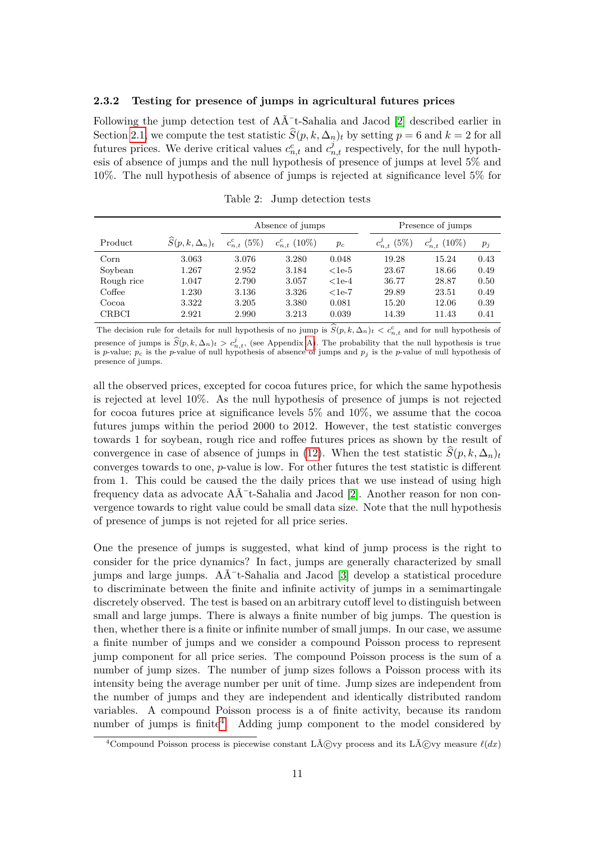#### **2.3.2 Testing for presence of jumps in agricultural futures prices**

Following the jump detection test of  $A\tilde{A}^-$ t-Sahalia and Jacod [2] described earlier in Section 2.1, we compute the test statistic  $S(p, k, \Delta_n)_t$  by setting  $p = 6$  and  $k = 2$  for all futures prices. We derive critical values  $c_{n,t}^c$  and  $c_{n,t}^j$  respectively, for the null hypothesis of absence of jumps and the null hypothesis of presence of jumps at level 5% and 10%. The null hypothesis of absence of jumps is rejected at significance level 5% for

|              |                                 |                    | Absence of jumps    |         |                     | Presence of jumps |       |
|--------------|---------------------------------|--------------------|---------------------|---------|---------------------|-------------------|-------|
| Product      | $\widehat{S}(p, k, \Delta_n)_t$ | $c_{n,t}^{c}$ (5%) | $c_{n,t}^{c}$ (10%) | $p_c$   | (5%)<br>$c_{n,t}^j$ | $c_{n,t}^j$ (10%) | $p_i$ |
| Corn         | 3.063                           | 3.076              | 3.280               | 0.048   | 19.28               | 15.24             | 0.43  |
| Soybean      | 1.267                           | 2.952              | 3.184               | $1e-5$  | 23.67               | 18.66             | 0.49  |
| Rough rice   | 1.047                           | 2.790              | 3.057               | $<1e-4$ | 36.77               | 28.87             | 0.50  |
| Coffee       | 1.230                           | 3.136              | 3.326               | $<1e-7$ | 29.89               | 23.51             | 0.49  |
| Cocoa        | 3.322                           | 3.205              | 3.380               | 0.081   | 15.20               | 12.06             | 0.39  |
| <b>CRBCI</b> | 2.921                           | 2.990              | 3.213               | 0.039   | 14.39               | 11.43             | 0.41  |

Table 2: Jump detection tests

The decision rule for details for null hypothesis of no jump is  $S(p, k, \Delta_n)_t < c_{n,t}^c$  and for null hypothesis of presence of jumps is  $\widehat{S}(p, k, \Delta_n)_t > c_{n,t}^j$ , (see Appendix A). The probability that the null hypothesis is true<br>is n-value: n<sub>-</sub> is the n-value of null hypothesis of absence of jumps and n; is the n-value of null hypot is *p*-value;  $p_c$  is the *p*-value of null hypothesis of absence of jumps and  $p_j$  is the *p*-value of null hypothesis of presence of jumps.

all the observed prices, excepted for cocoa futures price, for which the same hypothesis is rejected at level 10%. As the null hypothesis of presence of jumps is not rejected for cocoa futures price at significance levels 5% and 10%, we assume that the cocoa futures jumps within the period 2000 to 2012. However, the test statistic converges towards 1 for soybean, rough rice and roffee futures prices as shown by the result of convergence in case of absence of jumps in (12). When the test statistic  $\hat{S}(p, k, \Delta_n)_t$ converges towards to one, *p*-value is low. For other futures the test statistic is different from 1. This could be caused the the daily prices that we use instead of using high frequency data as advocate  $A\tilde{A}^-$ t-Sahalia and Jacod [2]. Another reason for non convergence towards to right value could be small data size. Note that the null hypothesis of presence of jumps is not rejeted for all price series.

One the presence of jumps is suggested, what kind of jump process is the right to consider for the price dynamics? In fact, jumps are generally characterized by small jumps and large jumps.  $A\tilde{\Lambda}^-$ t-Sahalia and Jacod [3] develop a statistical procedure to discriminate between the finite and infinite activity of jumps in a semimartingale discretely observed. The test is based on an arbitrary cutoff level to distinguish between small and large jumps. There is always a finite number of big jumps. The question is then, whether there is a finite or infinite number of small jumps. In our case, we assume a finite number of jumps and we consider a compound Poisson process to represent jump component for all price series. The compound Poisson process is the sum of a number of jump sizes. The number of jump sizes follows a Poisson process with its intensity being the average number per unit of time. Jump sizes are independent from the number of jumps and they are independent and identically distributed random variables. A compound Poisson process is a of finite activity, because its random number of jumps is finite<sup>4</sup>. Adding jump component to the model considered by

<sup>&</sup>lt;sup>4</sup> Compound Poisson process is piecewise constant Lévy process and its Lévy measure  $\ell(dx)$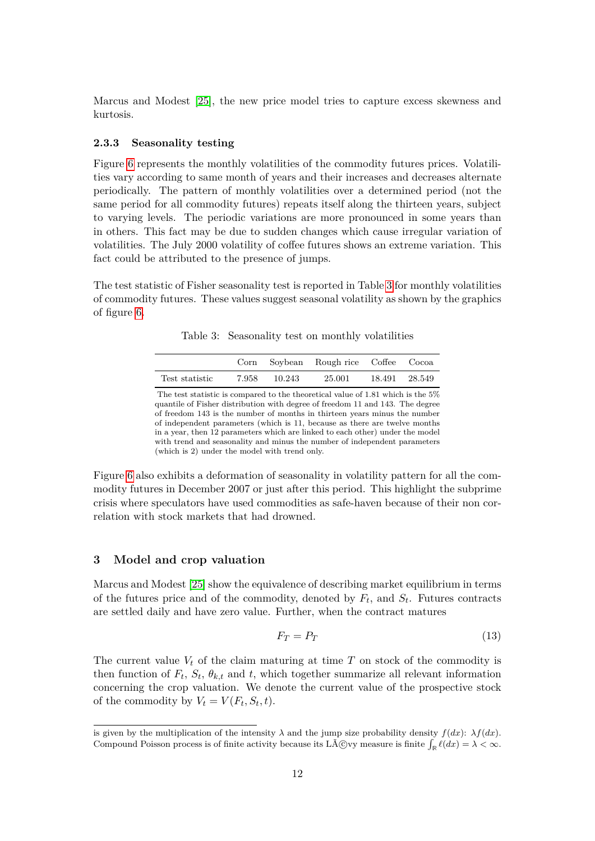Marcus and Modest [25], the new price model tries to capture excess skewness and kurtosis.

#### **2.3.3 Seasonality testing**

Figure 6 represents the monthly volatilities of the commodity futures prices. Volatilities vary according to same month of years and their increases and decreases alternate periodically. The pattern of monthly volatilities over a determined period (not the same period for all commodity futures) repeats itself along the thirteen years, subject to varying levels. The periodic variations are more pronounced in some years than in others. This fact may be due to sudden changes which cause irregular variation of volatilities. The July 2000 volatility of coffee futures shows an extreme variation. This fact could be attributed to the presence of jumps.

The test statistic of Fisher seasonality test is reported in Table 3 for monthly volatilities of commodity futures. These values suggest seasonal volatility as shown by the graphics of figure 6.

Table 3: Seasonality test on monthly volatilities

|                |       |        | Corn Soybean Rough rice Coffee Cocoa |               |
|----------------|-------|--------|--------------------------------------|---------------|
| Test statistic | 7.958 | 10.243 | 25.001                               | 18.491 28.549 |

The test statistic is compared to the theoretical value of 1.81 which is the 5% quantile of Fisher distribution with degree of freedom 11 and 143. The degree of freedom 143 is the number of months in thirteen years minus the number of independent parameters (which is 11, because as there are twelve months in a year, then 12 parameters which are linked to each other) under the model with trend and seasonality and minus the number of independent parameters (which is 2) under the model with trend only.

Figure 6 also exhibits a deformation of seasonality in volatility pattern for all the commodity futures in December 2007 or just after this period. This highlight the subprime crisis where speculators have used commodities as safe-haven because of their non correlation with stock markets that had drowned.

#### **3 Model and crop valuation**

Marcus and Modest [25] show the equivalence of describing market equilibrium in terms of the futures price and of the commodity, denoted by  $F_t$ , and  $S_t$ . Futures contracts are settled daily and have zero value. Further, when the contract matures

$$
F_T = P_T \tag{13}
$$

The current value  $V_t$  of the claim maturing at time  $T$  on stock of the commodity is then function of  $F_t$ ,  $S_t$ ,  $\theta_{k,t}$  and  $t$ , which together summarize all relevant information concerning the crop valuation. We denote the current value of the prospective stock of the commodity by  $V_t = V(F_t, S_t, t)$ .

is given by the multiplication of the intensity  $\lambda$  and the jump size probability density  $f(dx)$ :  $\lambda f(dx)$ . Compound Poisson process is of finite activity because its Lévy measure is finite  $\int_{\mathbb{R}} \ell(dx) = \lambda < \infty$ .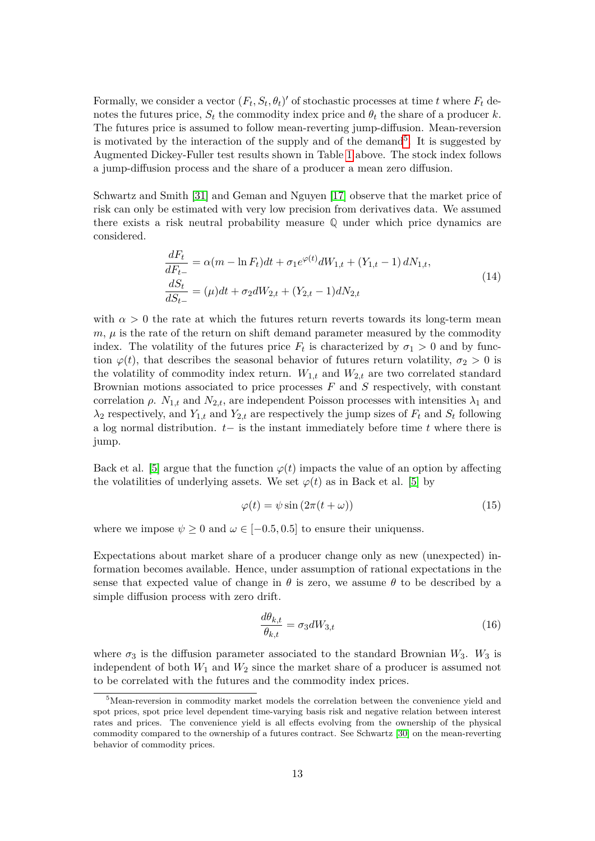Formally, we consider a vector  $(F_t, S_t, \theta_t)'$  of stochastic processes at time *t* where  $F_t$  denotes the futures price,  $S_t$  the commodity index price and  $\theta_t$  the share of a producer *k*. The futures price is assumed to follow mean-reverting jump-diffusion. Mean-reversion is motivated by the interaction of the supply and of the demand<sup>5</sup>. It is suggested by Augmented Dickey-Fuller test results shown in Table 1 above. The stock index follows a jump-diffusion process and the share of a producer a mean zero diffusion.

Schwartz and Smith [31] and Geman and Nguyen [17] observe that the market price of risk can only be estimated with very low precision from derivatives data. We assumed there exists a risk neutral probability measure **Q** under which price dynamics are considered.

$$
\frac{dF_t}{dF_{t-}} = \alpha(m - \ln F_t)dt + \sigma_1 e^{\varphi(t)}dW_{1,t} + (Y_{1,t} - 1) dN_{1,t},
$$
\n
$$
\frac{dS_t}{dS_{t-}} = (\mu)dt + \sigma_2 dW_{2,t} + (Y_{2,t} - 1)dN_{2,t}
$$
\n(14)

with  $\alpha > 0$  the rate at which the futures return reverts towards its long-term mean  $m, \mu$  is the rate of the return on shift demand parameter measured by the commodity index. The volatility of the futures price  $F_t$  is characterized by  $\sigma_1 > 0$  and by function  $\varphi(t)$ , that describes the seasonal behavior of futures return volatility,  $\sigma_2 > 0$  is the volatility of commodity index return.  $W_{1,t}$  and  $W_{2,t}$  are two correlated standard Brownian motions associated to price processes *F* and *S* respectively, with constant correlation  $\rho$ .  $N_{1,t}$  and  $N_{2,t}$ , are independent Poisson processes with intensities  $\lambda_1$  and  $\lambda_2$  respectively, and  $Y_{1,t}$  and  $Y_{2,t}$  are respectively the jump sizes of  $F_t$  and  $S_t$  following a log normal distribution. *t*− is the instant immediately before time *t* where there is jump.

Back et al. [5] argue that the function  $\varphi(t)$  impacts the value of an option by affecting the volatilities of underlying assets. We set  $\varphi(t)$  as in Back et al. [5] by

$$
\varphi(t) = \psi \sin(2\pi(t + \omega))\tag{15}
$$

where we impose  $\psi \geq 0$  and  $\omega \in [-0.5, 0.5]$  to ensure their uniquenss.

Expectations about market share of a producer change only as new (unexpected) information becomes available. Hence, under assumption of rational expectations in the sense that expected value of change in  $\theta$  is zero, we assume  $\theta$  to be described by a simple diffusion process with zero drift.

$$
\frac{d\theta_{k,t}}{\theta_{k,t}} = \sigma_3 dW_{3,t} \tag{16}
$$

where  $\sigma_3$  is the diffusion parameter associated to the standard Brownian  $W_3$ .  $W_3$  is independent of both *W*<sup>1</sup> and *W*<sup>2</sup> since the market share of a producer is assumed not to be correlated with the futures and the commodity index prices.

 $5$ Mean-reversion in commodity market models the correlation between the convenience yield and spot prices, spot price level dependent time-varying basis risk and negative relation between interest rates and prices. The convenience yield is all effects evolving from the ownership of the physical commodity compared to the ownership of a futures contract. See Schwartz [30] on the mean-reverting behavior of commodity prices.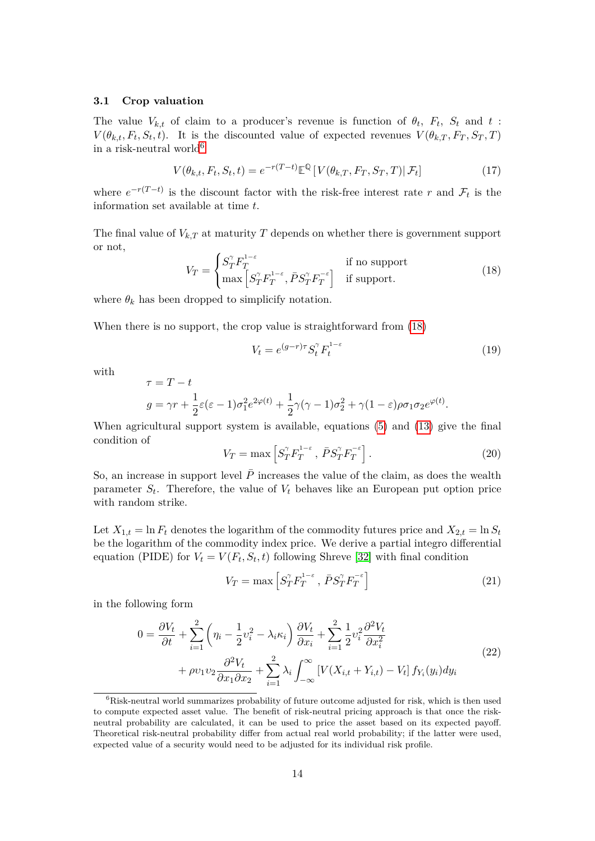#### **3.1 Crop valuation**

The value  $V_{k,t}$  of claim to a producer's revenue is function of  $\theta_t$ ,  $F_t$ ,  $S_t$  and  $t$ :  $V(\theta_{k,t}, F_t, S_t, t)$ . It is the discounted value of expected revenues  $V(\theta_{k,T}, F_T, S_T, T)$ in a risk-neutral world<sup>6</sup>

$$
V(\theta_{k,t}, F_t, S_t, t) = e^{-r(T-t)} \mathbb{E}^{\mathbb{Q}} \left[ V(\theta_{k,T}, F_T, S_T, T) | \mathcal{F}_t \right]
$$
(17)

where  $e^{-r(T-t)}$  is the discount factor with the risk-free interest rate r and  $\mathcal{F}_t$  is the information set available at time *t*.

The final value of  $V_{k,T}$  at maturity  $T$  depends on whether there is government support or not,

$$
V_T = \begin{cases} S_T^{\gamma} F_T^{1-\epsilon} & \text{if no support} \\ \max \left[ S_T^{\gamma} F_T^{1-\epsilon}, \bar{P} S_T^{\gamma} F_T^{-\epsilon} \right] & \text{if support.} \end{cases}
$$
(18)

where  $\theta_k$  has been dropped to simplicify notation.

 $\tau = T - t$ 

When there is no support, the crop value is straightforward from (18)

$$
V_t = e^{(g-r)\tau} S_t^{\gamma} F_t^{1-\varepsilon}
$$
\n(19)

with

$$
g = \gamma r + \frac{1}{2}\varepsilon(\varepsilon - 1)\sigma_1^2 e^{2\varphi(t)} + \frac{1}{2}\gamma(\gamma - 1)\sigma_2^2 + \gamma(1 - \varepsilon)\rho\sigma_1\sigma_2 e^{\varphi(t)}.
$$

When agricultural support system is available, equations (5) and (13) give the final condition of

$$
V_T = \max \left[ S_T^{\gamma} F_T^{1-\epsilon} , \, \bar{P} S_T^{\gamma} F_T^{-\epsilon} \right]. \tag{20}
$$

So, an increase in support level  $\overline{P}$  increases the value of the claim, as does the wealth parameter *S<sup>t</sup>* . Therefore, the value of *V<sup>t</sup>* behaves like an European put option price with random strike.

Let  $X_{1,t} = \ln F_t$  denotes the logarithm of the commodity futures price and  $X_{2,t} = \ln S_t$ be the logarithm of the commodity index price. We derive a partial integro differential equation (PIDE) for  $V_t = V(F_t, S_t, t)$  following Shreve [32] with final condition

$$
V_T = \max \left[ S_T^{\gamma} F_T^{1-\epsilon} , \, \bar{P} S_T^{\gamma} F_T^{-\epsilon} \right] \tag{21}
$$

in the following form

$$
0 = \frac{\partial V_t}{\partial t} + \sum_{i=1}^2 \left( \eta_i - \frac{1}{2} v_i^2 - \lambda_i \kappa_i \right) \frac{\partial V_t}{\partial x_i} + \sum_{i=1}^2 \frac{1}{2} v_i^2 \frac{\partial^2 V_t}{\partial x_i^2} + \rho v_1 v_2 \frac{\partial^2 V_t}{\partial x_1 \partial x_2} + \sum_{i=1}^2 \lambda_i \int_{-\infty}^{\infty} \left[ V(X_{i,t} + Y_{i,t}) - V_t \right] f_{Y_i}(y_i) dy_i \tag{22}
$$

 ${}^{6}$ Risk-neutral world summarizes probability of future outcome adjusted for risk, which is then used to compute expected asset value. The benefit of risk-neutral pricing approach is that once the riskneutral probability are calculated, it can be used to price the asset based on its expected payoff. Theoretical risk-neutral probability differ from actual real world probability; if the latter were used, expected value of a security would need to be adjusted for its individual risk profile.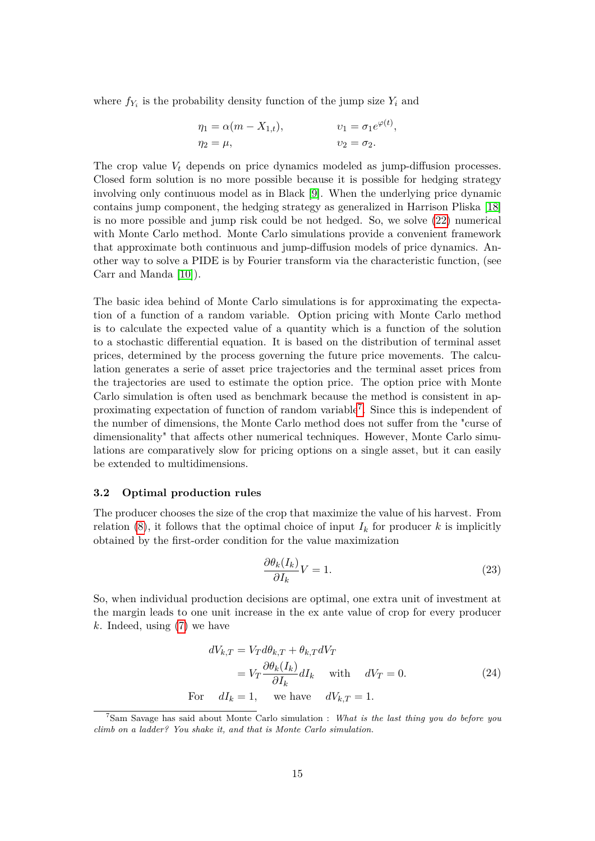where  $f_{Y_i}$  is the probability density function of the jump size  $Y_i$  and

$$
\eta_1 = \alpha(m - X_{1,t}), \qquad v_1 = \sigma_1 e^{\varphi(t)},
$$
  

$$
\eta_2 = \mu, \qquad v_2 = \sigma_2.
$$

The crop value *V<sup>t</sup>* depends on price dynamics modeled as jump-diffusion processes. Closed form solution is no more possible because it is possible for hedging strategy involving only continuous model as in Black [9]. When the underlying price dynamic contains jump component, the hedging strategy as generalized in Harrison Pliska [18] is no more possible and jump risk could be not hedged. So, we solve (22) numerical with Monte Carlo method. Monte Carlo simulations provide a convenient framework that approximate both continuous and jump-diffusion models of price dynamics. Another way to solve a PIDE is by Fourier transform via the characteristic function, (see Carr and Manda [10]).

The basic idea behind of Monte Carlo simulations is for approximating the expectation of a function of a random variable. Option pricing with Monte Carlo method is to calculate the expected value of a quantity which is a function of the solution to a stochastic differential equation. It is based on the distribution of terminal asset prices, determined by the process governing the future price movements. The calculation generates a serie of asset price trajectories and the terminal asset prices from the trajectories are used to estimate the option price. The option price with Monte Carlo simulation is often used as benchmark because the method is consistent in approximating expectation of function of random variable<sup>7</sup>. Since this is independent of the number of dimensions, the Monte Carlo method does not suffer from the "curse of dimensionality" that affects other numerical techniques. However, Monte Carlo simulations are comparatively slow for pricing options on a single asset, but it can easily be extended to multidimensions.

#### **3.2 Optimal production rules**

The producer chooses the size of the crop that maximize the value of his harvest. From relation (8), it follows that the optimal choice of input  $I_k$  for producer  $k$  is implicitly obtained by the first-order condition for the value maximization

$$
\frac{\partial \theta_k(I_k)}{\partial I_k} V = 1. \tag{23}
$$

So, when individual production decisions are optimal, one extra unit of investment at the margin leads to one unit increase in the ex ante value of crop for every producer *k*. Indeed, using (7) we have

$$
dV_{k,T} = V_T d\theta_{k,T} + \theta_{k,T} dV_T
$$
  
=  $V_T \frac{\partial \theta_k(I_k)}{\partial I_k} dI_k$  with  $dV_T = 0$ . (24)  
For  $dI_k = 1$ , we have  $dV_{k,T} = 1$ .

<sup>7</sup>Sam Savage has said about Monte Carlo simulation : *What is the last thing you do before you climb on a ladder? You shake it, and that is Monte Carlo simulation.*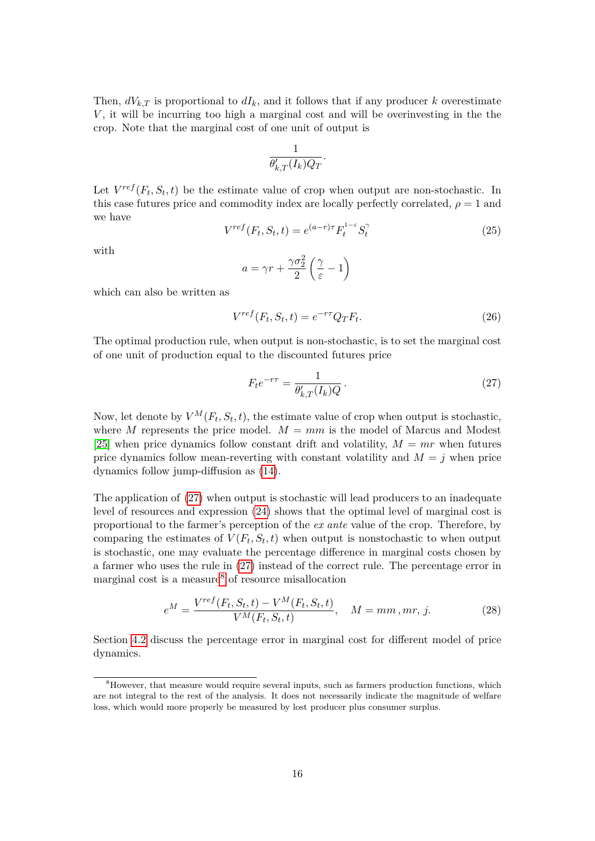Then,  $dV_{k,T}$  is proportional to  $dI_k$ , and it follows that if any producer *k* overestimate *V*, it will be incurring too high a marginal cost and will be overinvesting in the the crop. Note that the marginal cost of one unit of output is

$$
\frac{1}{\theta_{k,T}'(I_k)Q_T}.
$$

Let  $V^{ref}(F_t, S_t, t)$  be the estimate value of crop when output are non-stochastic. In this case futures price and commodity index are locally perfectly correlated,  $\rho = 1$  and we have

$$
V^{ref}(F_t, S_t, t) = e^{(a-r)\tau} F_t^{1-\epsilon} S_t^{\gamma}
$$
\n(25)

with

$$
a = \gamma r + \frac{\gamma \sigma_2^2}{2} \left(\frac{\gamma}{\varepsilon} - 1\right)
$$

which can also be written as

$$
V^{ref}(F_t, S_t, t) = e^{-r\tau} Q_T F_t.
$$
\n
$$
(26)
$$

The optimal production rule, when output is non-stochastic, is to set the marginal cost of one unit of production equal to the discounted futures price

$$
F_t e^{-r\tau} = \frac{1}{\theta'_{k,T}(I_k)Q}.
$$
\n
$$
(27)
$$

Now, let denote by  $V^M(F_t, S_t, t)$ , the estimate value of crop when output is stochastic, where *M* represents the price model.  $M = mm$  is the model of Marcus and Modest [25] when price dynamics follow constant drift and volatility,  $M = mr$  when futures price dynamics follow mean-reverting with constant volatility and  $M = j$  when price dynamics follow jump-diffusion as (14).

The application of (27) when output is stochastic will lead producers to an inadequate level of resources and expression (24) shows that the optimal level of marginal cost is proportional to the farmer's perception of the *ex ante* value of the crop. Therefore, by comparing the estimates of  $V(F_t, S_t, t)$  when output is nonstochastic to when output is stochastic, one may evaluate the percentage difference in marginal costs chosen by a farmer who uses the rule in (27) instead of the correct rule. The percentage error in marginal cost is a measure<sup>8</sup> of resource misallocation

$$
e^{M} = \frac{V^{ref}(F_{t}, S_{t}, t) - V^{M}(F_{t}, S_{t}, t)}{V^{M}(F_{t}, S_{t}, t)}, \quad M = mm, mr, j.
$$
 (28)

Section 4.2 discuss the percentage error in marginal cost for different model of price dynamics.

<sup>&</sup>lt;sup>8</sup>However, that measure would require several inputs, such as farmers production functions, which are not integral to the rest of the analysis. It does not necessarily indicate the magnitude of welfare loss, which would more properly be measured by lost producer plus consumer surplus.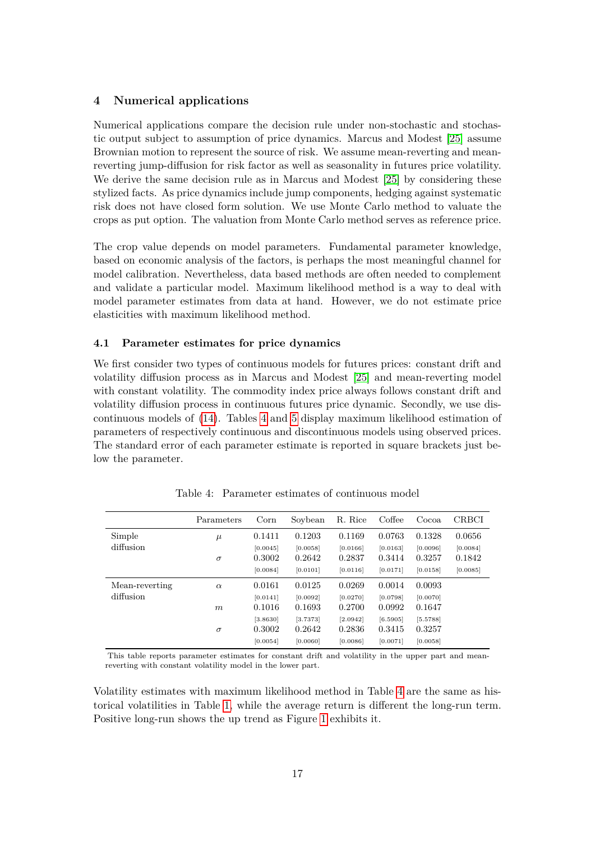## **4 Numerical applications**

Numerical applications compare the decision rule under non-stochastic and stochastic output subject to assumption of price dynamics. Marcus and Modest [25] assume Brownian motion to represent the source of risk. We assume mean-reverting and meanreverting jump-diffusion for risk factor as well as seasonality in futures price volatility. We derive the same decision rule as in Marcus and Modest [25] by considering these stylized facts. As price dynamics include jump components, hedging against systematic risk does not have closed form solution. We use Monte Carlo method to valuate the crops as put option. The valuation from Monte Carlo method serves as reference price.

The crop value depends on model parameters. Fundamental parameter knowledge, based on economic analysis of the factors, is perhaps the most meaningful channel for model calibration. Nevertheless, data based methods are often needed to complement and validate a particular model. Maximum likelihood method is a way to deal with model parameter estimates from data at hand. However, we do not estimate price elasticities with maximum likelihood method.

## **4.1 Parameter estimates for price dynamics**

We first consider two types of continuous models for futures prices: constant drift and volatility diffusion process as in Marcus and Modest [25] and mean-reverting model with constant volatility. The commodity index price always follows constant drift and volatility diffusion process in continuous futures price dynamic. Secondly, we use discontinuous models of (14). Tables 4 and 5 display maximum likelihood estimation of parameters of respectively continuous and discontinuous models using observed prices. The standard error of each parameter estimate is reported in square brackets just below the parameter.

|                | Parameters | Corn     | Soybean  | R. Rice  | Coffee   | Cocoa    | <b>CRBCI</b> |
|----------------|------------|----------|----------|----------|----------|----------|--------------|
| Simple         | $\mu$      | 0.1411   | 0.1203   | 0.1169   | 0.0763   | 0.1328   | 0.0656       |
| diffusion      |            | [0.0045] | [0.0058] | [0.0166] | [0.0163] | [0.0096] | [0.0084]     |
|                | $\sigma$   | 0.3002   | 0.2642   | 0.2837   | 0.3414   | 0.3257   | 0.1842       |
|                |            | [0.0084] | [0.0101] | [0.0116] | [0.0171] | [0.0158] | [0.0085]     |
| Mean-reverting | $\alpha$   | 0.0161   | 0.0125   | 0.0269   | 0.0014   | 0.0093   |              |
| diffusion      |            | [0.0141] | [0.0092] | [0.0270] | [0.0798] | [0.0070] |              |
|                | m          | 0.1016   | 0.1693   | 0.2700   | 0.0992   | 0.1647   |              |
|                |            | [3.8630] | [3.7373] | [2.0942] | [6.5905] | [5.5788] |              |
|                | $\sigma$   | 0.3002   | 0.2642   | 0.2836   | 0.3415   | 0.3257   |              |
|                |            | [0.0054] | [0.0060] | [0.0086] | [0.0071] | [0.0058] |              |

Table 4: Parameter estimates of continuous model

This table reports parameter estimates for constant drift and volatility in the upper part and meanreverting with constant volatility model in the lower part.

Volatility estimates with maximum likelihood method in Table 4 are the same as historical volatilities in Table 1, while the average return is different the long-run term. Positive long-run shows the up trend as Figure 1 exhibits it.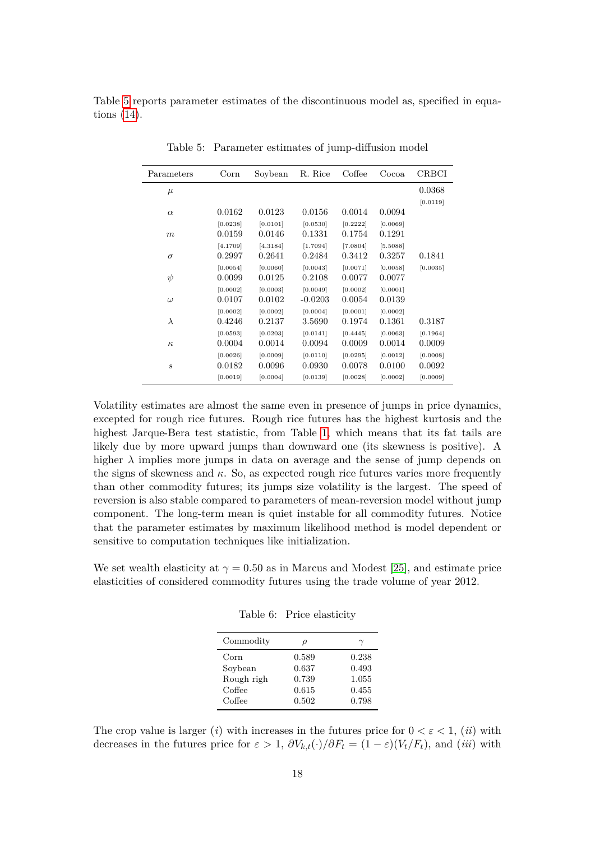Table 5 reports parameter estimates of the discontinuous model as, specified in equations (14).

| Parameters                  | $_{\rm Corn}$ | Soybean  | R. Rice   | Coffee   | Cocoa    | CRBCI    |
|-----------------------------|---------------|----------|-----------|----------|----------|----------|
| $\mu$                       |               |          |           |          |          | 0.0368   |
|                             |               |          |           |          |          | [0.0119] |
| $\alpha$                    | 0.0162        | 0.0123   | 0.0156    | 0.0014   | 0.0094   |          |
|                             | [0.0238]      | [0.0101] | [0.0530]  | [0.2222] | [0.0069] |          |
| $\,m$                       | 0.0159        | 0.0146   | 0.1331    | 0.1754   | 0.1291   |          |
|                             | [4.1709]      | [4.3184] | [1.7094]  | [7.0804] | [5.5088] |          |
| $\sigma$                    | 0.2997        | 0.2641   | 0.2484    | 0.3412   | 0.3257   | 0.1841   |
|                             | [0.0054]      | [0.0060] | [0.0043]  | [0.0071] | [0.0058] | [0.0035] |
| $\psi$                      | 0.0099        | 0.0125   | 0.2108    | 0.0077   | 0.0077   |          |
|                             | [0.0002]      | [0.0003] | [0.0049]  | [0.0002] | [0.0001] |          |
| $\omega$                    | 0.0107        | 0.0102   | $-0.0203$ | 0.0054   | 0.0139   |          |
|                             | [0.0002]      | [0.0002] | [0.0004]  | [0.0001] | [0.0002] |          |
| $\lambda$                   | 0.4246        | 0.2137   | 3.5690    | 0.1974   | 0.1361   | 0.3187   |
|                             | [0.0593]      | [0.0203] | [0.0141]  | [0.4445] | [0.0063] | [0.1964] |
| $\kappa$                    | 0.0004        | 0.0014   | 0.0094    | 0.0009   | 0.0014   | 0.0009   |
|                             | [0.0026]      | [0.0009] | [0.0110]  | [0.0295] | [0.0012] | [0.0008] |
| $\mathcal{S}_{\mathcal{S}}$ | 0.0182        | 0.0096   | 0.0930    | 0.0078   | 0.0100   | 0.0092   |
|                             | [0.0019]      | [0.0004] | [0.0139]  | [0.0028] | [0.0002] | [0.0009] |

Table 5: Parameter estimates of jump-diffusion model

Volatility estimates are almost the same even in presence of jumps in price dynamics, excepted for rough rice futures. Rough rice futures has the highest kurtosis and the highest Jarque-Bera test statistic, from Table 1, which means that its fat tails are likely due by more upward jumps than downward one (its skewness is positive). A higher  $\lambda$  implies more jumps in data on average and the sense of jump depends on the signs of skewness and  $\kappa$ . So, as expected rough rice futures varies more frequently than other commodity futures; its jumps size volatility is the largest. The speed of reversion is also stable compared to parameters of mean-reversion model without jump component. The long-term mean is quiet instable for all commodity futures. Notice that the parameter estimates by maximum likelihood method is model dependent or sensitive to computation techniques like initialization.

We set wealth elasticity at  $\gamma = 0.50$  as in Marcus and Modest [25], and estimate price elasticities of considered commodity futures using the trade volume of year 2012.

Table 6: Price elasticity

| Commodity  |       | $\gamma$ |
|------------|-------|----------|
| Corn       | 0.589 | 0.238    |
| Soybean    | 0.637 | 0.493    |
| Rough righ | 0.739 | 1.055    |
| Coffee     | 0.615 | 0.455    |
| Coffee     | 0.502 | 0.798    |

The crop value is larger (*i*) with increases in the futures price for  $0 < \varepsilon < 1$ , (*ii*) with decreases in the futures price for  $\varepsilon > 1$ ,  $\partial V_{k,t}(\cdot)/\partial F_t = (1 - \varepsilon)(V_t/F_t)$ , and (*iii*) with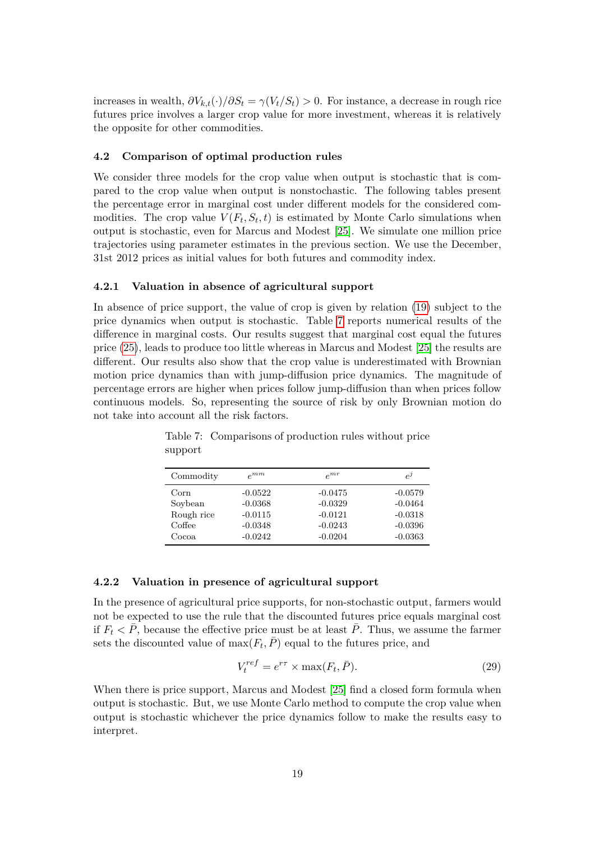increases in wealth,  $\partial V_{k,t}(\cdot)/\partial S_t = \gamma(V_t/S_t) > 0$ . For instance, a decrease in rough rice futures price involves a larger crop value for more investment, whereas it is relatively the opposite for other commodities.

#### **4.2 Comparison of optimal production rules**

We consider three models for the crop value when output is stochastic that is compared to the crop value when output is nonstochastic. The following tables present the percentage error in marginal cost under different models for the considered commodities. The crop value  $V(F_t, S_t, t)$  is estimated by Monte Carlo simulations when output is stochastic, even for Marcus and Modest [25]. We simulate one million price trajectories using parameter estimates in the previous section. We use the December, 31st 2012 prices as initial values for both futures and commodity index.

#### **4.2.1 Valuation in absence of agricultural support**

In absence of price support, the value of crop is given by relation (19) subject to the price dynamics when output is stochastic. Table 7 reports numerical results of the difference in marginal costs. Our results suggest that marginal cost equal the futures price (25), leads to produce too little whereas in Marcus and Modest [25] the results are different. Our results also show that the crop value is underestimated with Brownian motion price dynamics than with jump-diffusion price dynamics. The magnitude of percentage errors are higher when prices follow jump-diffusion than when prices follow continuous models. So, representing the source of risk by only Brownian motion do not take into account all the risk factors.

| $e^{mm}$  | $e^{mr}$  | $e^j$     |
|-----------|-----------|-----------|
| $-0.0522$ | $-0.0475$ | $-0.0579$ |
| $-0.0368$ | $-0.0329$ | $-0.0464$ |
| $-0.0115$ | $-0.0121$ | $-0.0318$ |
| $-0.0348$ | $-0.0243$ | $-0.0396$ |
| $-0.0242$ | $-0.0204$ | $-0.0363$ |
|           |           |           |

Table 7: Comparisons of production rules without price support

#### **4.2.2 Valuation in presence of agricultural support**

In the presence of agricultural price supports, for non-stochastic output, farmers would not be expected to use the rule that the discounted futures price equals marginal cost if  $F_t \leq \bar{P}$ , because the effective price must be at least  $\bar{P}$ . Thus, we assume the farmer sets the discounted value of  $\max(F_t, \overline{P})$  equal to the futures price, and

$$
V_t^{ref} = e^{r\tau} \times \max(F_t, \bar{P}).\tag{29}
$$

When there is price support, Marcus and Modest [25] find a closed form formula when output is stochastic. But, we use Monte Carlo method to compute the crop value when output is stochastic whichever the price dynamics follow to make the results easy to interpret.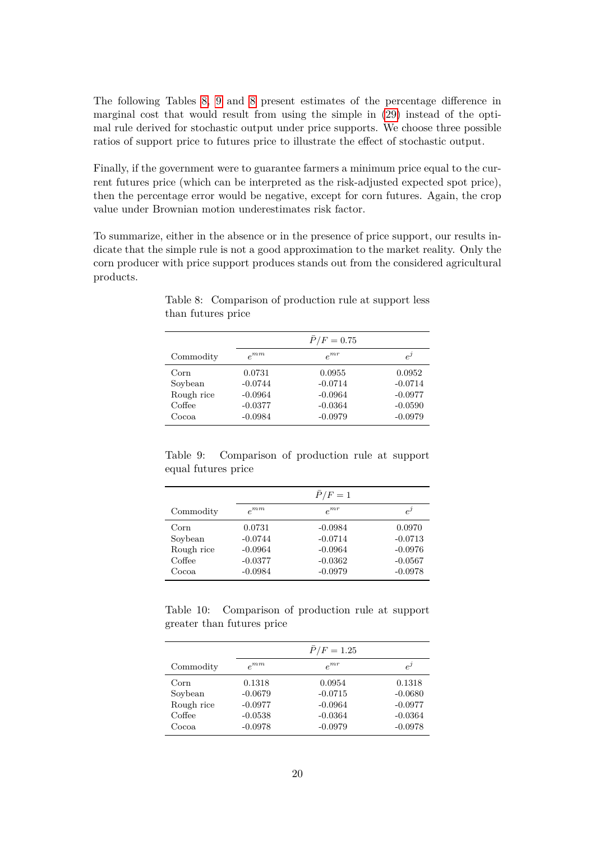The following Tables 8, 9 and 8 present estimates of the percentage difference in marginal cost that would result from using the simple in (29) instead of the optimal rule derived for stochastic output under price supports. We choose three possible ratios of support price to futures price to illustrate the effect of stochastic output.

Finally, if the government were to guarantee farmers a minimum price equal to the current futures price (which can be interpreted as the risk-adjusted expected spot price), then the percentage error would be negative, except for corn futures. Again, the crop value under Brownian motion underestimates risk factor.

To summarize, either in the absence or in the presence of price support, our results indicate that the simple rule is not a good approximation to the market reality. Only the corn producer with price support produces stands out from the considered agricultural products.

|            |           | $P/F = 0.75$ |           |
|------------|-----------|--------------|-----------|
| Commodity  | $e^{mm}$  | $e^{mr}$     | $e^j$     |
| Corn       | 0.0731    | 0.0955       | 0.0952    |
| Soybean    | $-0.0744$ | $-0.0714$    | $-0.0714$ |
| Rough rice | $-0.0964$ | $-0.0964$    | $-0.0977$ |
| Coffee     | $-0.0377$ | $-0.0364$    | $-0.0590$ |
| Cocoa.     | $-0.0984$ | $-0.0979$    | $-0.0979$ |

Table 8: Comparison of production rule at support less than futures price

Table 9: Comparison of production rule at support equal futures price

|                                                  |                                                            | $\bar{P}/F=1$                                                 |                                                            |
|--------------------------------------------------|------------------------------------------------------------|---------------------------------------------------------------|------------------------------------------------------------|
| Commodity                                        | $e^{mm}$                                                   | $e^{mr}$                                                      | $e^j$                                                      |
| Corn<br>Soybean<br>Rough rice<br>Coffee<br>Cocoa | 0.0731<br>$-0.0744$<br>$-0.0964$<br>$-0.0377$<br>$-0.0984$ | $-0.0984$<br>$-0.0714$<br>$-0.0964$<br>$-0.0362$<br>$-0.0979$ | 0.0970<br>$-0.0713$<br>$-0.0976$<br>$-0.0567$<br>$-0.0978$ |

Table 10: Comparison of production rule at support greater than futures price

|                                                   |                                                            | $P/F = 1.25$                                               |                                                            |
|---------------------------------------------------|------------------------------------------------------------|------------------------------------------------------------|------------------------------------------------------------|
| Commodity                                         | $e^{mm}$                                                   | $e^{mr}$                                                   | $e^{j}$                                                    |
| Corn<br>Soybean<br>Rough rice<br>Coffee<br>Cocoa. | 0.1318<br>$-0.0679$<br>$-0.0977$<br>$-0.0538$<br>$-0.0978$ | 0.0954<br>$-0.0715$<br>$-0.0964$<br>$-0.0364$<br>$-0.0979$ | 0.1318<br>$-0.0680$<br>$-0.0977$<br>$-0.0364$<br>$-0.0978$ |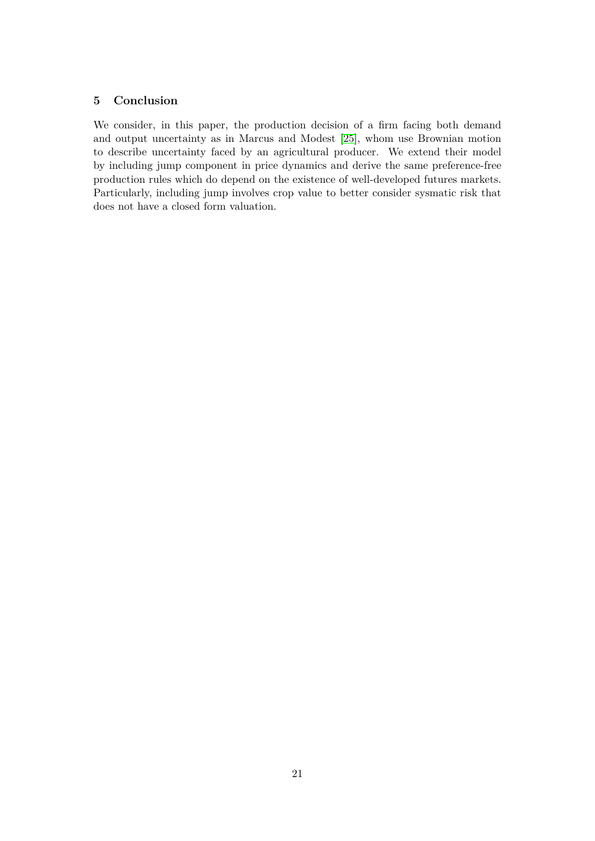## **5 Conclusion**

We consider, in this paper, the production decision of a firm facing both demand and output uncertainty as in Marcus and Modest [25], whom use Brownian motion to describe uncertainty faced by an agricultural producer. We extend their model by including jump component in price dynamics and derive the same preference-free production rules which do depend on the existence of well-developed futures markets. Particularly, including jump involves crop value to better consider sysmatic risk that does not have a closed form valuation.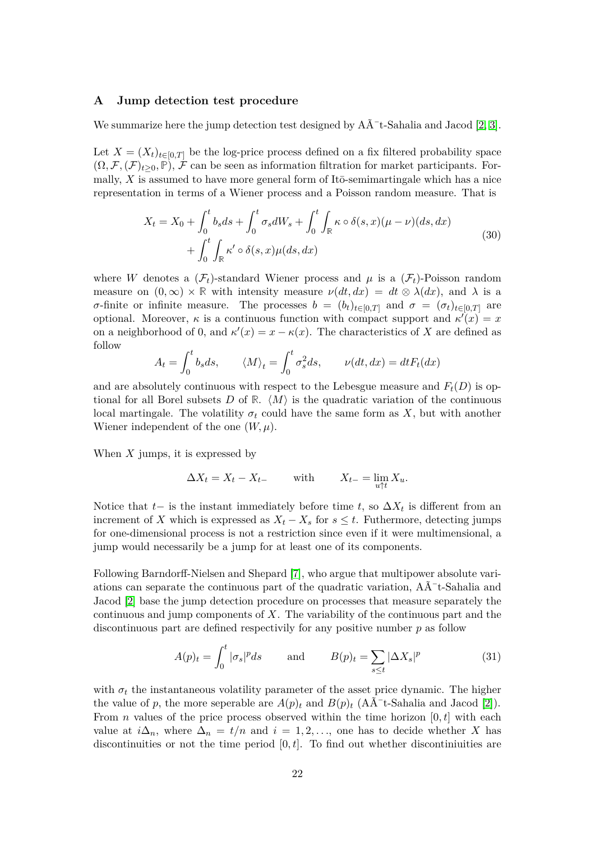#### **A Jump detection test procedure**

We summarize here the jump detection test designed by  $A\tilde{A}^-$ t-Sahalia and Jacod [2, 3].

Let  $X = (X_t)_{t \in [0,T]}$  be the log-price process defined on a fix filtered probability space  $(\Omega, \mathcal{F}, (\mathcal{F})_{t>0}, \mathbb{P})$ , F can be seen as information filtration for market participants. Formally,  $X$  is assumed to have more general form of It $\bar{\text{o}}$ -semimartingale which has a nice representation in terms of a Wiener process and a Poisson random measure. That is

$$
X_t = X_0 + \int_0^t b_s ds + \int_0^t \sigma_s dW_s + \int_0^t \int_{\mathbb{R}} \kappa \circ \delta(s, x) (\mu - \nu)(ds, dx)
$$
  
+ 
$$
\int_0^t \int_{\mathbb{R}} \kappa' \circ \delta(s, x) \mu(ds, dx)
$$
 (30)

where *W* denotes a  $(\mathcal{F}_t)$ -standard Wiener process and  $\mu$  is a  $(\mathcal{F}_t)$ -Poisson random measure on  $(0, \infty) \times \mathbb{R}$  with intensity measure  $\nu(dt, dx) = dt \otimes \lambda(dx)$ , and  $\lambda$  is a *σ*-finite or infinite measure. The processes  $b = (b_t)_{t \in [0,T]}$  and  $\sigma = (\sigma_t)_{t \in [0,T]}$  are optional. Moreover,  $\kappa$  is a continuous function with compact support and  $\kappa'(x) = x$ on a neighborhood of 0, and  $\kappa'(x) = x - \kappa(x)$ . The characteristics of *X* are defined as follow

$$
A_t = \int_0^t b_s ds, \qquad \langle M \rangle_t = \int_0^t \sigma_s^2 ds, \qquad \nu(dt, dx) = dt F_t(dx)
$$

and are absolutely continuous with respect to the Lebesgue measure and  $F_t(D)$  is optional for all Borel subsets D of R.  $\langle M \rangle$  is the quadratic variation of the continuous local martingale. The volatility  $\sigma_t$  could have the same form as  $X$ , but with another Wiener independent of the one  $(W, \mu)$ .

When *X* jumps, it is expressed by

$$
\Delta X_t = X_t - X_{t-} \qquad \text{with} \qquad X_{t-} = \lim_{u \uparrow t} X_u.
$$

Notice that  $t-$  is the instant immediately before time  $t$ , so  $\Delta X_t$  is different from an increment of *X* which is expressed as  $X_t - X_s$  for  $s \leq t$ . Futhermore, detecting jumps for one-dimensional process is not a restriction since even if it were multimensional, a jump would necessarily be a jump for at least one of its components.

Following Barndorff-Nielsen and Shepard [7], who argue that multipower absolute variations can separate the continuous part of the quadratic variation,  $A\tilde{A}^-$ t-Sahalia and Jacod [2] base the jump detection procedure on processes that measure separately the continuous and jump components of *X*. The variability of the continuous part and the discontinuous part are defined respectivily for any positive number *p* as follow

$$
A(p)_t = \int_0^t |\sigma_s|^p ds \quad \text{and} \quad B(p)_t = \sum_{s \le t} |\Delta X_s|^p \tag{31}
$$

with  $\sigma_t$  the instantaneous volatility parameter of the asset price dynamic. The higher the value of p, the more seperable are  $A(p)_t$  and  $B(p)_t$  (A $\tilde{A}^-$ t-Sahalia and Jacod [2]). From *n* values of the price process observed within the time horizon  $[0, t]$  with each value at  $i\Delta_n$ , where  $\Delta_n = t/n$  and  $i = 1, 2, \ldots$ , one has to decide whether X has discontinuities or not the time period [0*, t*]. To find out whether discontiniuities are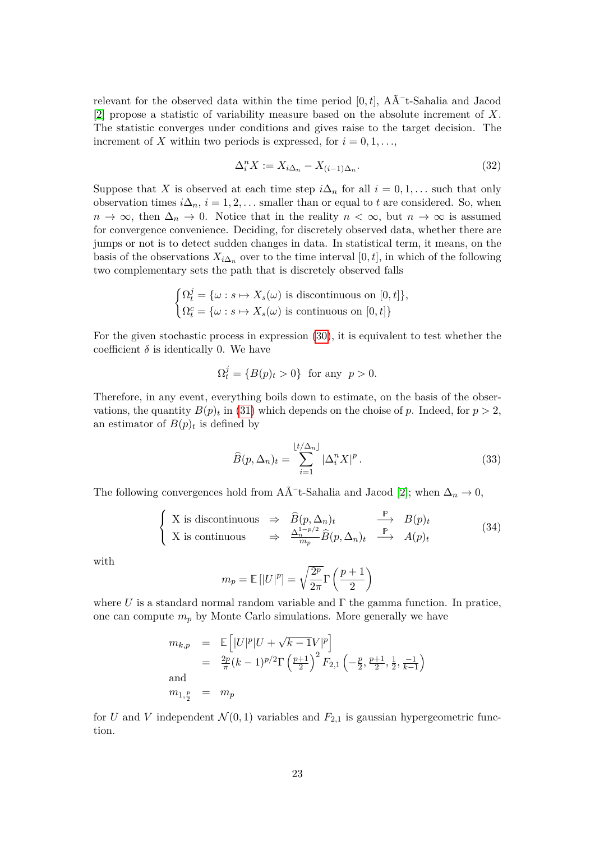relevant for the observed data within the time period  $[0, t]$ ,  $A\tilde{A}$ <sup>-</sup>t-Sahalia and Jacod [2] propose a statistic of variability measure based on the absolute increment of *X*. The statistic converges under conditions and gives raise to the target decision. The increment of *X* within two periods is expressed, for  $i = 0, 1, \ldots$ ,

$$
\Delta_i^n X := X_{i\Delta_n} - X_{(i-1)\Delta_n}.\tag{32}
$$

Suppose that *X* is observed at each time step  $i\Delta_n$  for all  $i = 0, 1, \ldots$  such that only observation times  $i\Delta_n$ ,  $i = 1, 2, \ldots$  smaller than or equal to *t* are considered. So, when  $n \to \infty$ , then  $\Delta_n \to 0$ . Notice that in the reality  $n < \infty$ , but  $n \to \infty$  is assumed for convergence convenience. Deciding, for discretely observed data, whether there are jumps or not is to detect sudden changes in data. In statistical term, it means, on the basis of the observations  $X_{i\Delta_n}$  over to the time interval  $[0, t]$ , in which of the following two complementary sets the path that is discretely observed falls

$$
\begin{cases} \Omega_t^j = \{ \omega : s \mapsto X_s(\omega) \text{ is discontinuous on } [0, t] \}, \\ \Omega_t^c = \{ \omega : s \mapsto X_s(\omega) \text{ is continuous on } [0, t] \} \end{cases}
$$

For the given stochastic process in expression (30), it is equivalent to test whether the coefficient  $\delta$  is identically 0. We have

$$
\Omega_t^j = \{ B(p)_t > 0 \} \text{ for any } p > 0.
$$

Therefore, in any event, everything boils down to estimate, on the basis of the observations, the quantity  $B(p)_t$  in (31) which depends on the choise of *p*. Indeed, for  $p > 2$ , an estimator of  $B(p)_t$  is defined by

$$
\widehat{B}(p,\Delta_n)_t = \sum_{i=1}^{\lfloor t/\Delta_n \rfloor} |\Delta_i^n X|^p. \tag{33}
$$

The following convergences hold from A $\bar{A}^-$ t-Sahalia and Jacod [2]; when  $\Delta_n \to 0$ ,

$$
\begin{cases}\nX \text{ is discontinuous} & \Rightarrow \widehat{B}(p, \Delta_n)_t \xrightarrow{\mathbb{P}} B(p)_t \\
X \text{ is continuous} & \Rightarrow \frac{\Delta_n^{1-p/2}}{m_p} \widehat{B}(p, \Delta_n)_t \xrightarrow{\mathbb{P}} A(p)_t\n\end{cases} (34)
$$

with

$$
m_p = \mathbb{E}[|U|^p] = \sqrt{\frac{2^p}{2\pi}} \Gamma\left(\frac{p+1}{2}\right)
$$

where  $U$  is a standard normal random variable and  $\Gamma$  the gamma function. In pratice, one can compute  $m_p$  by Monte Carlo simulations. More generally we have

$$
m_{k,p} = \mathbb{E}\left[|U|^p|U+\sqrt{k-1}V|^p\right]
$$
  
=  $\frac{2p}{\pi}(k-1)^{p/2}\Gamma\left(\frac{p+1}{2}\right)^2 F_{2,1}\left(-\frac{p}{2}, \frac{p+1}{2}, \frac{1}{2}, \frac{-1}{k-1}\right)$   
and  
 $m_{1,\frac{p}{2}} = m_p$ 

for *U* and *V* independent  $\mathcal{N}(0,1)$  variables and  $F_{2,1}$  is gaussian hypergeometric function.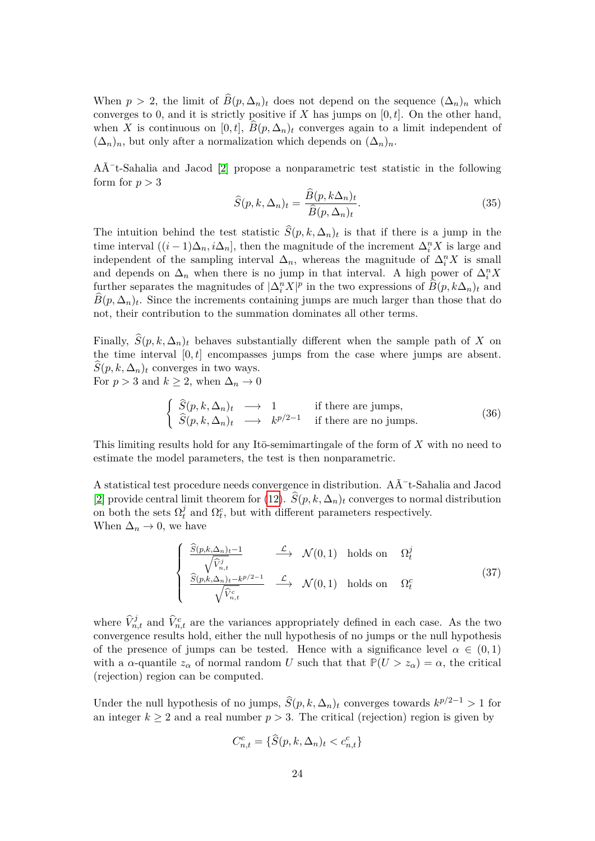When  $p > 2$ , the limit of  $\widehat{B}(p, \Delta_n)_t$  does not depend on the sequence  $(\Delta_n)_n$  which converges to 0, and it is strictly positive if *X* has jumps on [0*, t*]. On the other hand, when *X* is continuous on [0, *t*],  $\hat{B}(p, \Delta_n)_t$  converges again to a limit independent of  $(\Delta_n)_n$ , but only after a normalization which depends on  $(\Delta_n)_n$ .

 $A\tilde{A}$ <sup>-</sup>t-Sahalia and Jacod [2] propose a nonparametric test statistic in the following form for  $p > 3$ 

$$
\widehat{S}(p,k,\Delta_n)_t = \frac{B(p,k\Delta_n)_t}{\widehat{B}(p,\Delta_n)_t}.\tag{35}
$$

The intuition behind the test statistic  $S(p, k, \Delta_n)_t$  is that if there is a jump in the time interval  $((i-1)\Delta_n, i\Delta_n]$ , then the magnitude of the increment  $\Delta_i^n X$  is large and independent of the sampling interval  $\Delta_n$ , whereas the magnitude of  $\Delta_i^n X$  is small and depends on  $\Delta_n$  when there is no jump in that interval. A high power of  $\Delta_i^n X$ further separates the magnitudes of  $|\Delta_i^n X|^p$  in the two expressions of  $\widehat{B}(p, k\Delta_n)_t$  and  $B(p, \Delta_n)_t$ . Since the increments containing jumps are much larger than those that do not, their contribution to the summation dominates all other terms.

Finally,  $\hat{S}(p, k, \Delta_n)_t$  behaves substantially different when the sample path of *X* on the time interval  $[0, t]$  encompasses jumps from the case where jumps are absent.  $S(p, k, \Delta_n)_t$  converges in two ways. For  $p > 3$  and  $k \geq 2$ , when  $\Delta_n \to 0$ 

$$
\begin{cases}\n\widehat{S}(p,k,\Delta_n)_t \longrightarrow 1 & \text{if there are jumps,} \\
\widehat{S}(p,k,\Delta_n)_t \longrightarrow k^{p/2-1} & \text{if there are no jumps.} \n\end{cases}
$$
\n(36)

This limiting results hold for any Itō-semimartingale of the form of X with no need to estimate the model parameters, the test is then nonparametric.

A statistical test procedure needs convergence in distribution.  $A\tilde{A}^-$ t-Sahalia and Jacod [2] provide central limit theorem for (12).  $\hat{S}(p, k, \Delta_n)$ <sub>t</sub> converges to normal distribution on both the sets  $\Omega_t^j$  $\hat{u}$ <sup>*t*</sup>
and  $\Omega_t^c$ , but with different parameters respectively. When  $\Delta_n \to 0$ , we have

$$
\begin{cases}\n\frac{\widehat{S}(p,k,\Delta_n)_t - 1}{\sqrt{\widehat{V}_{n,t}^j}} & \xrightarrow{\mathcal{L}} \mathcal{N}(0,1) \text{ holds on } \Omega_t^j \\
\frac{\widehat{S}(p,k,\Delta_n)_t - k^{p/2 - 1}}{\sqrt{\widehat{V}_{n,t}^c}} & \xrightarrow{\mathcal{L}} \mathcal{N}(0,1) \text{ holds on } \Omega_t^c\n\end{cases}
$$
\n(37)

where  $\hat{V}_{n,t}^j$  and  $\hat{V}_{n,t}^c$  are the variances appropriately defined in each case. As the two convergence results hold, either the null hypothesis of no jumps or the null hypothesis of the presence of jumps can be tested. Hence with a significance level  $\alpha \in (0,1)$ with a *α*-quantile  $z_\alpha$  of normal random *U* such that that  $\mathbb{P}(U > z_\alpha) = \alpha$ , the critical (rejection) region can be computed.

Under the null hypothesis of no jumps,  $\hat{S}(p, k, \Delta_n)_t$  converges towards  $k^{p/2-1} > 1$  for an integer  $k \geq 2$  and a real number  $p > 3$ . The critical (rejection) region is given by

$$
C_{n,t}^c = \{\widehat{S}(p,k,\Delta_n)_t < c_{n,t}^c\}
$$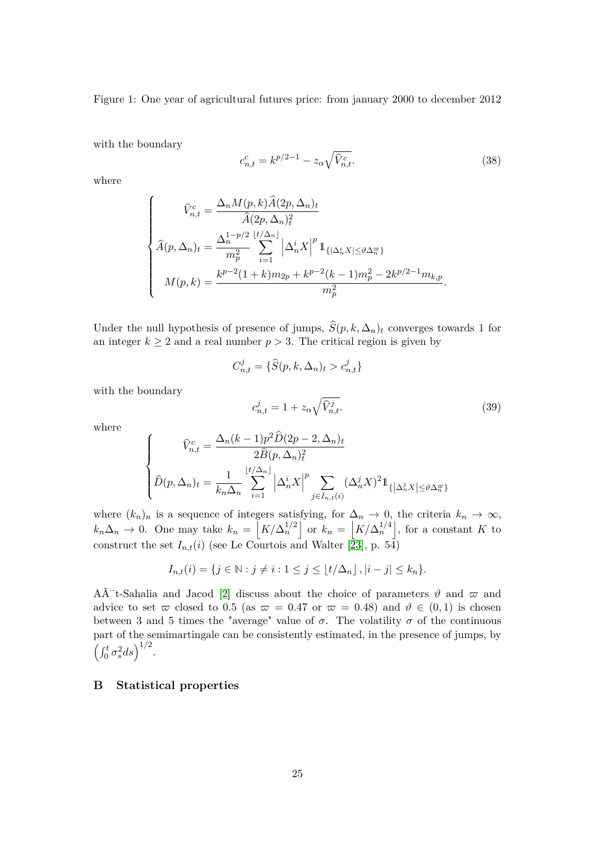Figure 1: One year of agricultural futures price: from january 2000 to december 2012

with the boundary

$$
c_{n,t}^c = k^{p/2 - 1} - z_\alpha \sqrt{\hat{V}_{n,t}^c}.
$$
\n(38)

where

$$
\begin{cases}\n\widehat{V}_{n,t}^{c} = \frac{\Delta_n M(p,k) \widehat{A}(2p,\Delta_n)_t}{\widehat{A}(2p,\Delta_n)_t^2} \\
\widehat{A}(p,\Delta_n)_t = \frac{\Delta_n^{1-p/2} \, \left[t/\Delta_n\right]}{m_p^2} \sum_{i=1}^{\infty} \left| \Delta_n^i X \right|^p \mathbb{1}_{\{|\Delta_n^i X| \le \vartheta \Delta_n^{\varpi}\}} \\
M(p,k) = \frac{k^{p-2}(1+k)m_{2p} + k^{p-2}(k-1)m_p^2 - 2k^{p/2-1}m_{k,p}}{m_p^2}.\n\end{cases}
$$

Under the null hypothesis of presence of jumps,  $\hat{S}(p, k, \Delta_n)_t$  converges towards 1 for an integer  $k \geq 2$  and a real number  $p > 3$ . The critical region is given by

$$
C_{n,t}^j = \{\widehat{S}(p,k,\Delta_n)_t > c_{n,t}^j\}
$$

with the boundary

$$
c_{n,t}^j = 1 + z_\alpha \sqrt{\hat{V}_{n,t}^j}.
$$
\n(39)

where

$$
\begin{cases}\n\widehat{V}_{n,t}^c = \frac{\Delta_n (k-1) p^2 \widehat{D}(2p-2, \Delta_n)_t}{2 \widehat{B}(p, \Delta_n)_t^2} \\
\widehat{D}(p, \Delta_n)_t = \frac{1}{k_n \Delta_n} \sum_{i=1}^{\lfloor t/\Delta_n \rfloor} \left| \Delta_n^i X \right|^p \sum_{j \in I_{n,t}(i)} (\Delta_n^j X)^2 1_{\left\{ \left| \Delta_n^j X \right| \le \vartheta \Delta_n^{\varpi} \right\}}\n\end{cases}
$$

where  $(k_n)_n$  is a sequence of integers satisfying, for  $\Delta_n \to 0$ , the criteria  $k_n \to \infty$ ,  $k_n\Delta_n \to 0$ . One may take  $k_n = |K/\Delta_n^{1/2}|$  or  $k_n = |K/\Delta_n^{1/4}|$ , for a constant *K* to construct the set  $I_{n,t}(i)$  (see Le Courtois and Walter [23], p. 54)

$$
I_{n,t}(i) = \{j \in \mathbb{N} : j \neq i : 1 \leq j \leq \lfloor t/\Delta_n \rfloor, |i - j| \leq k_n \}.
$$

A $\tilde{A}$ <sup>-</sup>t-Sahalia and Jacod [2] discuss about the choice of parameters  $\vartheta$  and  $\varpi$  and advice to set  $\varpi$  closed to 0.5 (as  $\varpi = 0.47$  or  $\varpi = 0.48$ ) and  $\vartheta \in (0,1)$  is chosen between 3 and 5 times the "average" value of  $\sigma$ . The volatility  $\sigma$  of the continuous part of the semimartingale can be consistently estimated, in the presence of jumps, by  $\left(\int_0^t \sigma_s^2 ds\right)^{1/2}.$ 

## **B Statistical properties**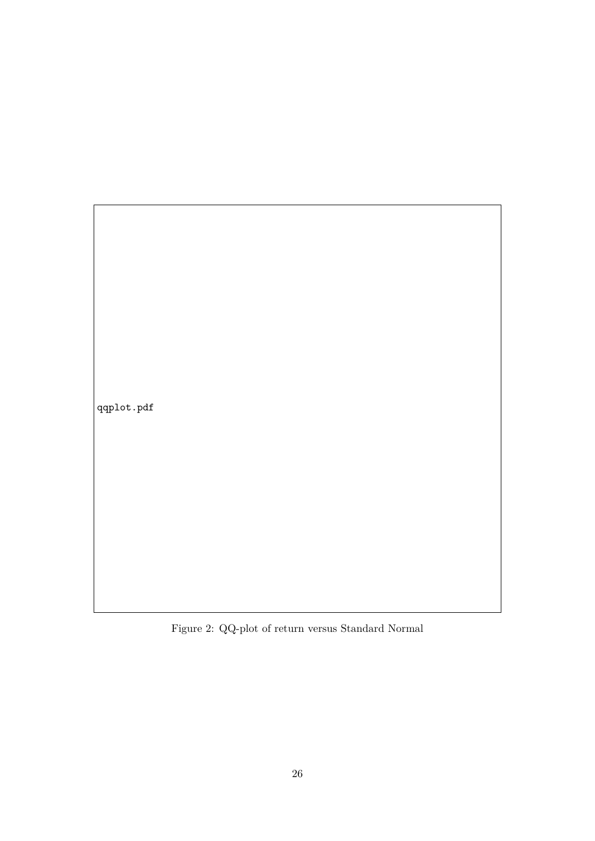qqplot.pdf

Figure 2: QQ-plot of return versus Standard Normal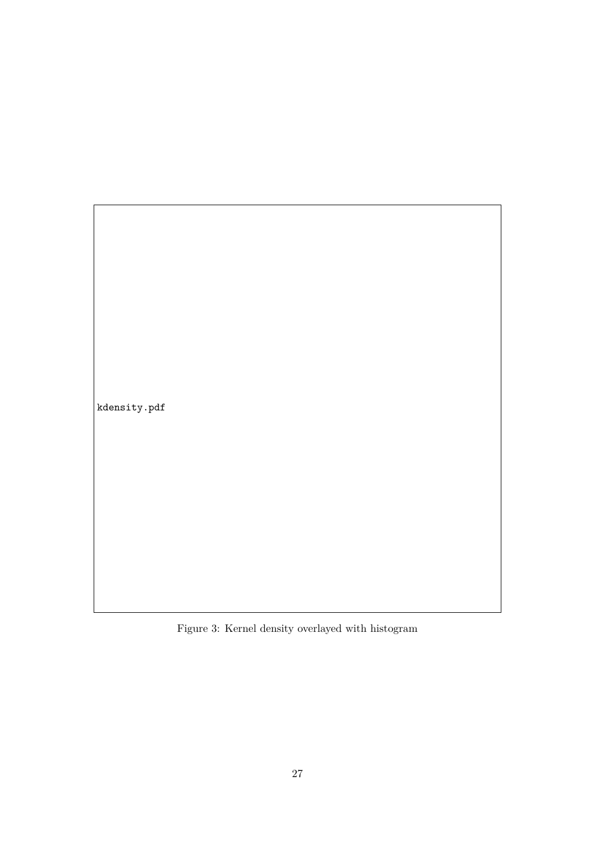kdensity.pdf

Figure 3: Kernel density overlayed with histogram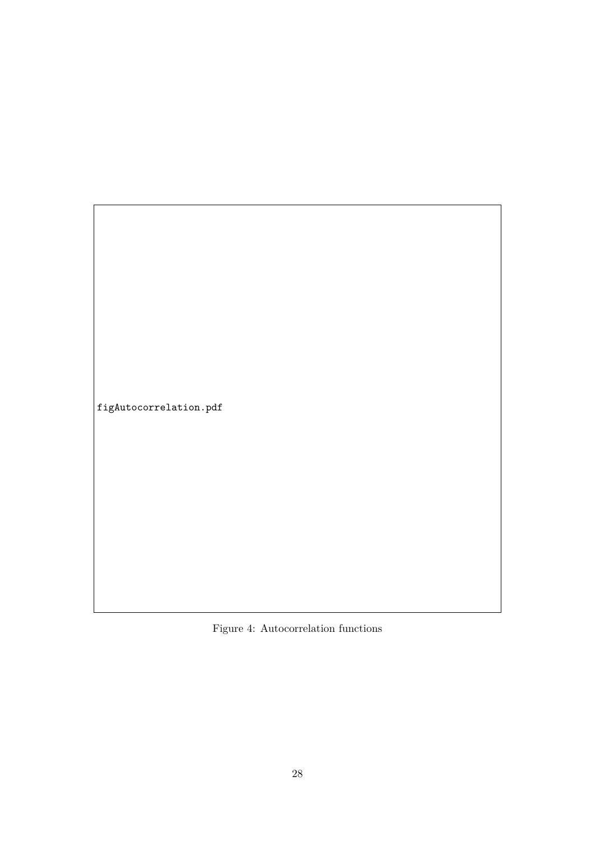figAutocorrelation.pdf

Figure 4: Autocorrelation functions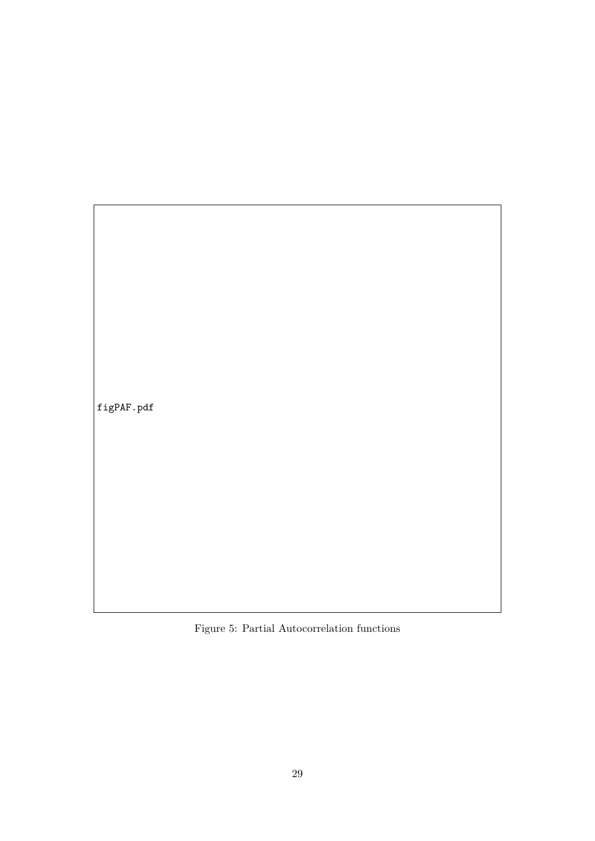$\Big|$ figPAF.pdf

Figure 5: Partial Autocorrelation functions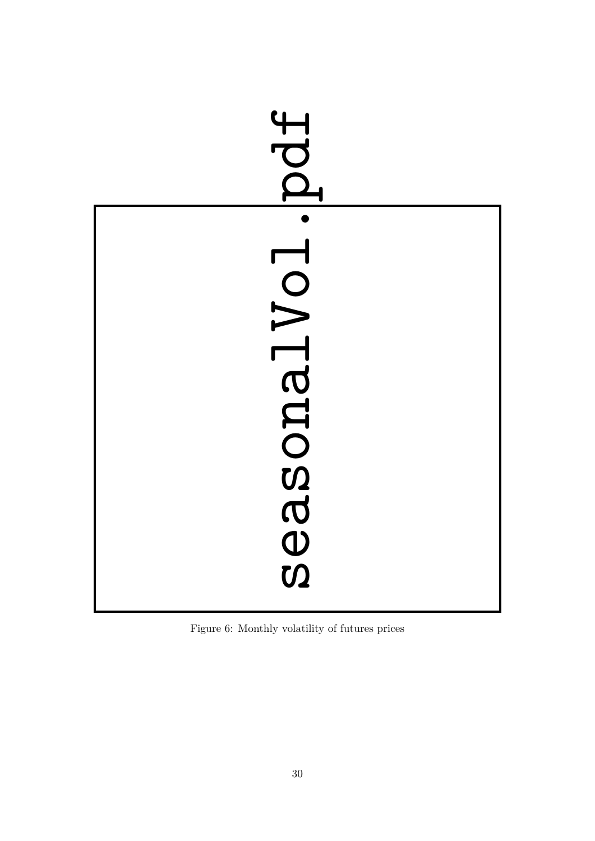| Pdf        |  |
|------------|--|
| IONTEEDESS |  |

Figure 6: Monthly volatility of futures prices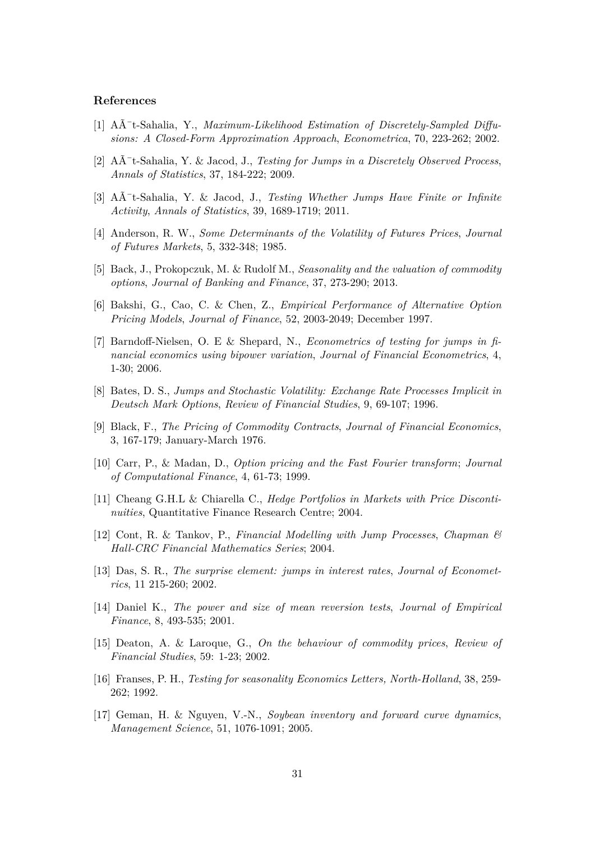#### **References**

- [1] A $\AA$ <sup>-</sup>t-Sahalia, Y., *Maximum-Likelihood Estimation of Discretely-Sampled Diffusions: A Closed-Form Approximation Approach*, *Econometrica*, 70, 223-262; 2002.
- [2] A $\tilde{A}$ <sup>+</sup>t-Sahalia, Y. & Jacod, J., *Testing for Jumps in a Discretely Observed Process*. *Annals of Statistics*, 37, 184-222; 2009.
- [3] A $\bar{A}$ <sup>-</sup>t-Sahalia, Y. & Jacod, J., *Testing Whether Jumps Have Finite or Infinite Activity*, *Annals of Statistics*, 39, 1689-1719; 2011.
- [4] Anderson, R. W., *Some Determinants of the Volatility of Futures Prices*, *Journal of Futures Markets*, 5, 332-348; 1985.
- [5] Back, J., Prokopczuk, M. & Rudolf M., *Seasonality and the valuation of commodity options*, *Journal of Banking and Finance*, 37, 273-290; 2013.
- [6] Bakshi, G., Cao, C. & Chen, Z., *Empirical Performance of Alternative Option Pricing Models*, *Journal of Finance*, 52, 2003-2049; December 1997.
- [7] Barndoff-Nielsen, O. E & Shepard, N., *Econometrics of testing for jumps in financial economics using bipower variation*, *Journal of Financial Econometrics*, 4, 1-30; 2006.
- [8] Bates, D. S., *Jumps and Stochastic Volatility: Exchange Rate Processes Implicit in Deutsch Mark Options*, *Review of Financial Studies*, 9, 69-107; 1996.
- [9] Black, F., *The Pricing of Commodity Contracts*, *Journal of Financial Economics*, 3, 167-179; January-March 1976.
- [10] Carr, P., & Madan, D., *Option pricing and the Fast Fourier transform*; *Journal of Computational Finance*, 4, 61-73; 1999.
- [11] Cheang G.H.L & Chiarella C., *Hedge Portfolios in Markets with Price Discontinuities*, Quantitative Finance Research Centre; 2004.
- [12] Cont, R. & Tankov, P., *Financial Modelling with Jump Processes*, *Chapman & Hall-CRC Financial Mathematics Series*; 2004.
- [13] Das, S. R., *The surprise element: jumps in interest rates*, *Journal of Econometrics*, 11 215-260; 2002.
- [14] Daniel K., *The power and size of mean reversion tests*, *Journal of Empirical Finance*, 8, 493-535; 2001.
- [15] Deaton, A. & Laroque, G., *On the behaviour of commodity prices*, *Review of Financial Studies*, 59: 1-23; 2002.
- [16] Franses, P. H., *Testing for seasonality Economics Letters, North-Holland*, 38, 259- 262; 1992.
- [17] Geman, H. & Nguyen, V.-N., *Soybean inventory and forward curve dynamics*, *Management Science*, 51, 1076-1091; 2005.